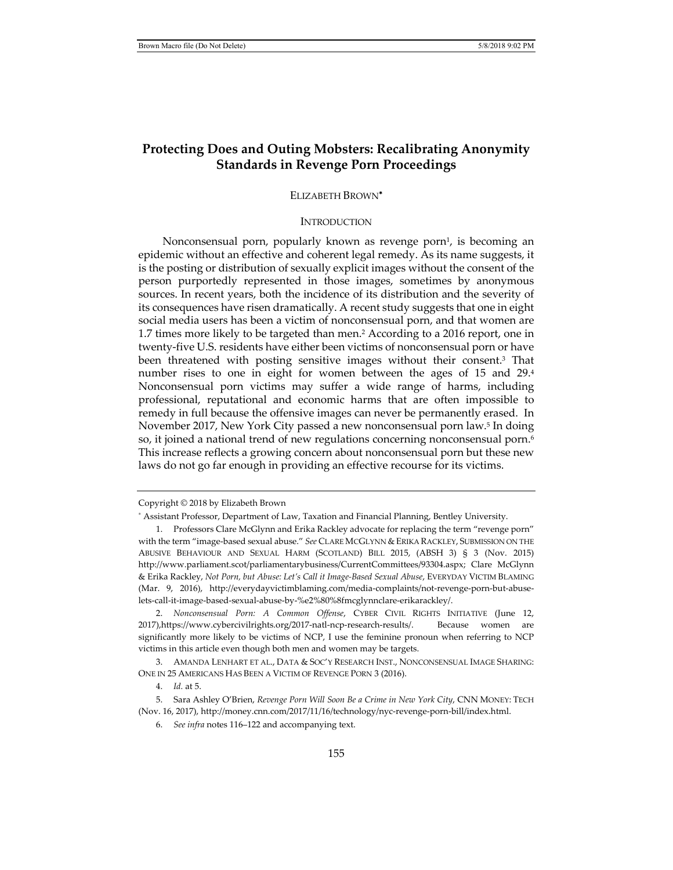# **Protecting Does and Outing Mobsters: Recalibrating Anonymity Standards in Revenge Porn Proceedings**

# ELIZABETH BROWN<sup>∗</sup>

#### **INTRODUCTION**

Nonconsensual porn, popularly known as revenge porn $\frac{1}{1}$ , is becoming an epidemic without an effective and coherent legal remedy. As its name suggests, it is the posting or distribution of sexually explicit images without the consent of the person purportedly represented in those images, sometimes by anonymous sources. In recent years, both the incidence of its distribution and the severity of its consequences have risen dramatically. A recent study suggests that one in eight social media users has been a victim of nonconsensual porn, and that women are 1.7 times more likely to be targeted than men.2 According to a 2016 report, one in twenty-five U.S. residents have either been victims of nonconsensual porn or have been threatened with posting sensitive images without their consent.3 That number rises to one in eight for women between the ages of 15 and 29.4 Nonconsensual porn victims may suffer a wide range of harms, including professional, reputational and economic harms that are often impossible to remedy in full because the offensive images can never be permanently erased. In November 2017, New York City passed a new nonconsensual porn law.<sup>5</sup> In doing so, it joined a national trend of new regulations concerning nonconsensual porn.<sup>6</sup> This increase reflects a growing concern about nonconsensual porn but these new laws do not go far enough in providing an effective recourse for its victims.

Copyright © 2018 by Elizabeth Brown

 3. AMANDA LENHART ET AL., DATA & SOC'Y RESEARCH INST., NONCONSENSUAL IMAGE SHARING: ONE IN 25 AMERICANS HAS BEEN A VICTIM OF REVENGE PORN 3 (2016).

4. *Id.* at 5.

<sup>∗</sup> Assistant Professor, Department of Law, Taxation and Financial Planning, Bentley University.

 <sup>1.</sup> Professors Clare McGlynn and Erika Rackley advocate for replacing the term "revenge porn" with the term "image-based sexual abuse." *See* CLARE MCGLYNN & ERIKA RACKLEY, SUBMISSION ON THE ABUSIVE BEHAVIOUR AND SEXUAL HARM (SCOTLAND) BILL 2015, (ABSH 3) § 3 (Nov. 2015) http://www.parliament.scot/parliamentarybusiness/CurrentCommittees/93304.aspx; Clare McGlynn & Erika Rackley, *Not Porn, but Abuse: Let's Call it Image-Based Sexual Abuse*, EVERYDAY VICTIM BLAMING (Mar. 9, 2016), http://everydayvictimblaming.com/media-complaints/not-revenge-porn-but-abuselets-call-it-image-based-sexual-abuse-by-%e2%80%8fmcglynnclare-erikarackley/.

 <sup>2.</sup> *Nonconsensual Porn: A Common Offense*, CYBER CIVIL RIGHTS INITIATIVE (June 12, 2017),https://www.cybercivilrights.org/2017-natl-ncp-research-results/. Because women are significantly more likely to be victims of NCP, I use the feminine pronoun when referring to NCP victims in this article even though both men and women may be targets.

 <sup>5.</sup> Sara Ashley O'Brien, *Revenge Porn Will Soon Be a Crime in New York City*, CNN MONEY: TECH (Nov. 16, 2017), http://money.cnn.com/2017/11/16/technology/nyc-revenge-porn-bill/index.html.

 <sup>6.</sup> *See infra* notes 116–122 and accompanying text.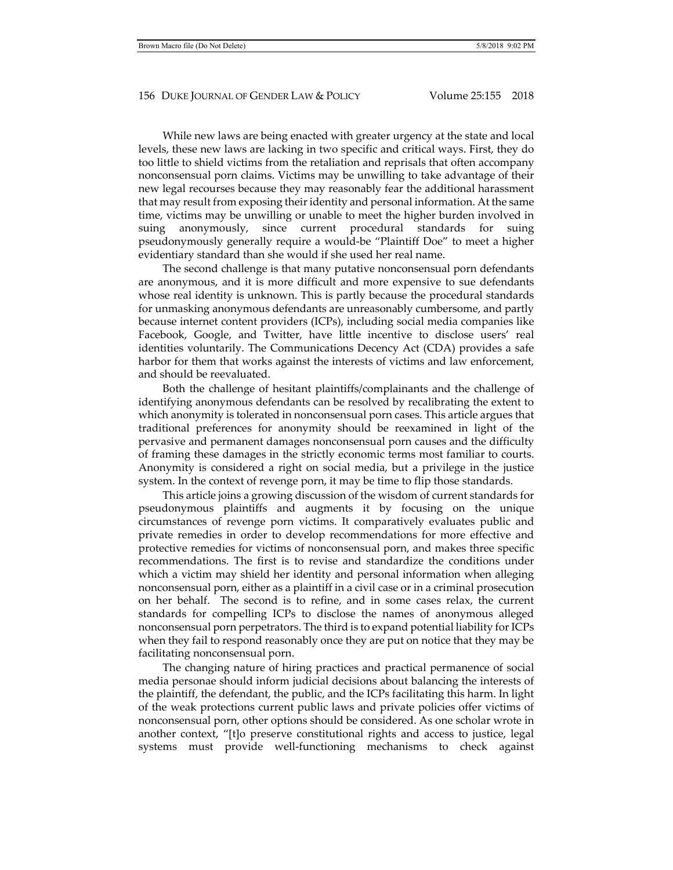While new laws are being enacted with greater urgency at the state and local levels, these new laws are lacking in two specific and critical ways. First, they do too little to shield victims from the retaliation and reprisals that often accompany nonconsensual porn claims. Victims may be unwilling to take advantage of their new legal recourses because they may reasonably fear the additional harassment that may result from exposing their identity and personal information. At the same time, victims may be unwilling or unable to meet the higher burden involved in suing anonymously, since current procedural standards for suing pseudonymously generally require a would-be "Plaintiff Doe" to meet a higher evidentiary standard than she would if she used her real name.

The second challenge is that many putative nonconsensual porn defendants are anonymous, and it is more difficult and more expensive to sue defendants whose real identity is unknown. This is partly because the procedural standards for unmasking anonymous defendants are unreasonably cumbersome, and partly because internet content providers (ICPs), including social media companies like Facebook, Google, and Twitter, have little incentive to disclose users' real identities voluntarily. The Communications Decency Act (CDA) provides a safe harbor for them that works against the interests of victims and law enforcement, and should be reevaluated.

Both the challenge of hesitant plaintiffs/complainants and the challenge of identifying anonymous defendants can be resolved by recalibrating the extent to which anonymity is tolerated in nonconsensual porn cases. This article argues that traditional preferences for anonymity should be reexamined in light of the pervasive and permanent damages nonconsensual porn causes and the difficulty of framing these damages in the strictly economic terms most familiar to courts. Anonymity is considered a right on social media, but a privilege in the justice system. In the context of revenge porn, it may be time to flip those standards.

This article joins a growing discussion of the wisdom of current standards for pseudonymous plaintiffs and augments it by focusing on the unique circumstances of revenge porn victims. It comparatively evaluates public and private remedies in order to develop recommendations for more effective and protective remedies for victims of nonconsensual porn, and makes three specific recommendations. The first is to revise and standardize the conditions under which a victim may shield her identity and personal information when alleging nonconsensual porn, either as a plaintiff in a civil case or in a criminal prosecution on her behalf. The second is to refine, and in some cases relax, the current standards for compelling ICPs to disclose the names of anonymous alleged nonconsensual porn perpetrators. The third is to expand potential liability for ICPs when they fail to respond reasonably once they are put on notice that they may be facilitating nonconsensual porn.

The changing nature of hiring practices and practical permanence of social media personae should inform judicial decisions about balancing the interests of the plaintiff, the defendant, the public, and the ICPs facilitating this harm. In light of the weak protections current public laws and private policies offer victims of nonconsensual porn, other options should be considered. As one scholar wrote in another context, "[t]o preserve constitutional rights and access to justice, legal systems must provide well-functioning mechanisms to check against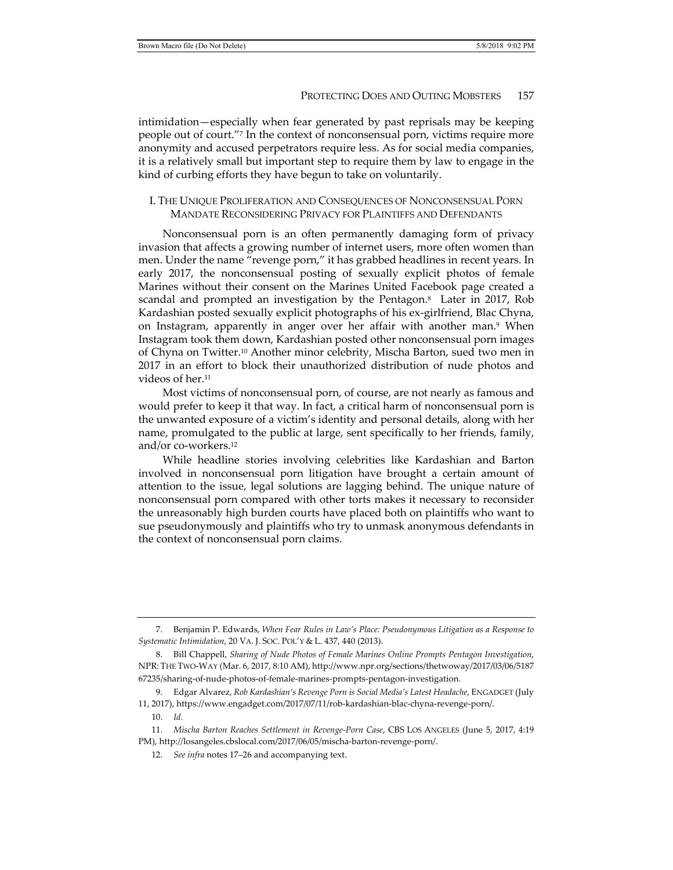intimidation—especially when fear generated by past reprisals may be keeping people out of court."7 In the context of nonconsensual porn, victims require more anonymity and accused perpetrators require less. As for social media companies, it is a relatively small but important step to require them by law to engage in the kind of curbing efforts they have begun to take on voluntarily.

# I. THE UNIQUE PROLIFERATION AND CONSEQUENCES OF NONCONSENSUAL PORN MANDATE RECONSIDERING PRIVACY FOR PLAINTIFFS AND DEFENDANTS

Nonconsensual porn is an often permanently damaging form of privacy invasion that affects a growing number of internet users, more often women than men. Under the name "revenge porn," it has grabbed headlines in recent years. In early 2017, the nonconsensual posting of sexually explicit photos of female Marines without their consent on the Marines United Facebook page created a scandal and prompted an investigation by the Pentagon.8 Later in 2017, Rob Kardashian posted sexually explicit photographs of his ex-girlfriend, Blac Chyna, on Instagram, apparently in anger over her affair with another man.<sup>9</sup> When Instagram took them down, Kardashian posted other nonconsensual porn images of Chyna on Twitter.10 Another minor celebrity, Mischa Barton, sued two men in 2017 in an effort to block their unauthorized distribution of nude photos and videos of her.11

Most victims of nonconsensual porn, of course, are not nearly as famous and would prefer to keep it that way. In fact, a critical harm of nonconsensual porn is the unwanted exposure of a victim's identity and personal details, along with her name, promulgated to the public at large, sent specifically to her friends, family, and/or co-workers.12

While headline stories involving celebrities like Kardashian and Barton involved in nonconsensual porn litigation have brought a certain amount of attention to the issue, legal solutions are lagging behind. The unique nature of nonconsensual porn compared with other torts makes it necessary to reconsider the unreasonably high burden courts have placed both on plaintiffs who want to sue pseudonymously and plaintiffs who try to unmask anonymous defendants in the context of nonconsensual porn claims.

 <sup>7.</sup> Benjamin P. Edwards, *When Fear Rules in Law's Place: Pseudonymous Litigation as a Response to Systematic Intimidation*, 20 VA. J. SOC. POL'Y & L. 437, 440 (2013).

 <sup>8.</sup> Bill Chappell, *Sharing of Nude Photos of Female Marines Online Prompts Pentagon Investigation*, NPR: THE TWO-WAY (Mar. 6, 2017, 8:10 AM), http://www.npr.org/sections/thetwoway/2017/03/06/5187 67235/sharing-of-nude-photos-of-female-marines-prompts-pentagon-investigation.

 <sup>9.</sup> Edgar Alvarez, *Rob Kardashian's Revenge Porn is Social Media's Latest Headache*, ENGADGET (July 11, 2017), https://www.engadget.com/2017/07/11/rob-kardashian-blac-chyna-revenge-porn/.

 <sup>10.</sup> *Id.*

 <sup>11.</sup> *Mischa Barton Reaches Settlement in Revenge-Porn Case*, CBS LOS ANGELES (June 5, 2017, 4:19 PM), http://losangeles.cbslocal.com/2017/06/05/mischa-barton-revenge-porn/.

 <sup>12.</sup> *See infra* notes 17–26 and accompanying text.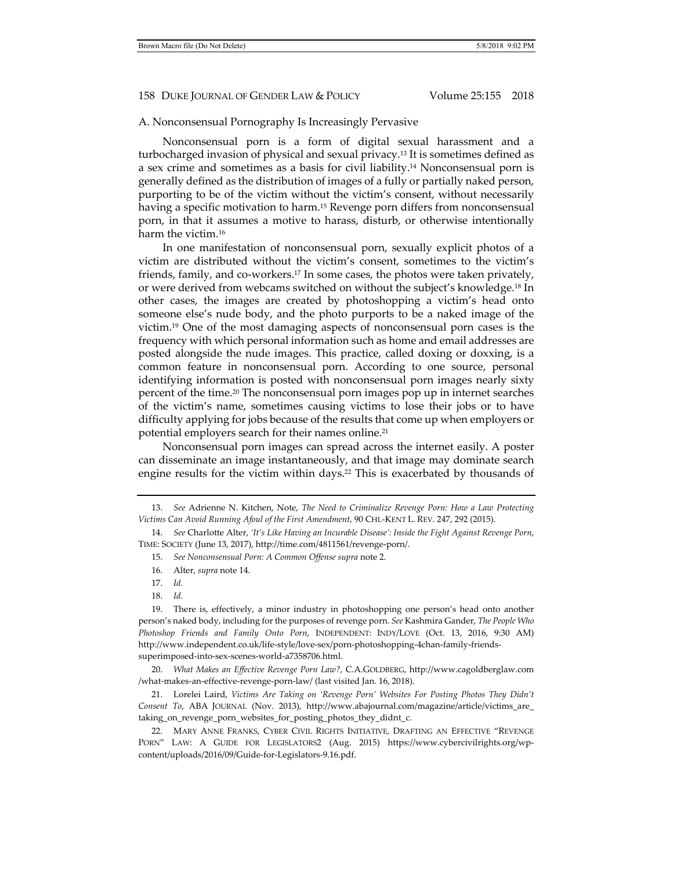#### A. Nonconsensual Pornography Is Increasingly Pervasive

Nonconsensual porn is a form of digital sexual harassment and a turbocharged invasion of physical and sexual privacy.13 It is sometimes defined as a sex crime and sometimes as a basis for civil liability.14 Nonconsensual porn is generally defined as the distribution of images of a fully or partially naked person, purporting to be of the victim without the victim's consent, without necessarily having a specific motivation to harm.<sup>15</sup> Revenge porn differs from nonconsensual porn, in that it assumes a motive to harass, disturb, or otherwise intentionally harm the victim.16

In one manifestation of nonconsensual porn, sexually explicit photos of a victim are distributed without the victim's consent, sometimes to the victim's friends, family, and co-workers.<sup>17</sup> In some cases, the photos were taken privately, or were derived from webcams switched on without the subject's knowledge.18 In other cases, the images are created by photoshopping a victim's head onto someone else's nude body, and the photo purports to be a naked image of the victim.19 One of the most damaging aspects of nonconsensual porn cases is the frequency with which personal information such as home and email addresses are posted alongside the nude images. This practice, called doxing or doxxing, is a common feature in nonconsensual porn. According to one source, personal identifying information is posted with nonconsensual porn images nearly sixty percent of the time.20 The nonconsensual porn images pop up in internet searches of the victim's name, sometimes causing victims to lose their jobs or to have difficulty applying for jobs because of the results that come up when employers or potential employers search for their names online.21

Nonconsensual porn images can spread across the internet easily. A poster can disseminate an image instantaneously, and that image may dominate search engine results for the victim within days.<sup>22</sup> This is exacerbated by thousands of

18. *Id.*

 19. There is, effectively, a minor industry in photoshopping one person's head onto another person's naked body, including for the purposes of revenge porn. *See* Kashmira Gander, *The People Who Photoshop Friends and Family Onto Porn*, INDEPENDENT: INDY/LOVE (Oct. 13, 2016, 9:30 AM) http://www.independent.co.uk/life-style/love-sex/porn-photoshopping-4chan-family-friendssuperimposed-into-sex-scenes-world-a7358706.html.

 20. *What Makes an Effective Revenge Porn Law?*, C.A.GOLDBERG, http://www.cagoldberglaw.com /what-makes-an-effective-revenge-porn-law/ (last visited Jan. 16, 2018).

 21. Lorelei Laird, *Victims Are Taking on 'Revenge Porn' Websites For Posting Photos They Didn't Consent To*, ABA JOURNAL (Nov. 2013), http://www.abajournal.com/magazine/article/victims\_are\_ taking\_on\_revenge\_porn\_websites\_for\_posting\_photos\_they\_didnt\_c.

 22. MARY ANNE FRANKS, CYBER CIVIL RIGHTS INITIATIVE, DRAFTING AN EFFECTIVE "REVENGE PORN" LAW: A GUIDE FOR LEGISLATORS2 (Aug. 2015) https://www.cybercivilrights.org/wpcontent/uploads/2016/09/Guide-for-Legislators-9.16.pdf.

 <sup>13.</sup> *See* Adrienne N. Kitchen, Note, *The Need to Criminalize Revenge Porn: How a Law Protecting Victims Can Avoid Running Afoul of the First Amendment*, 90 CHI.-KENT L. REV. 247, 292 (2015).

 <sup>14.</sup> *See* Charlotte Alter, *'It's Like Having an Incurable Disease': Inside the Fight Against Revenge Porn*, TIME: SOCIETY (June 13, 2017), http://time.com/4811561/revenge-porn/.

 <sup>15.</sup> *See Nonconsensual Porn: A Common Offense supra* note 2.

 <sup>16.</sup> Alter, *supra* note 14.

 <sup>17.</sup> *Id.*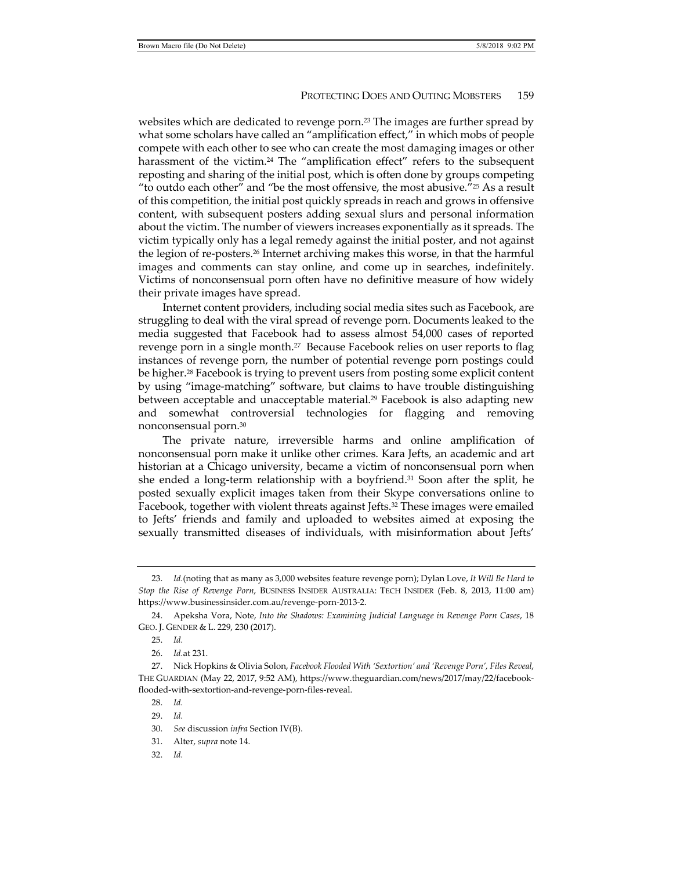websites which are dedicated to revenge porn.<sup>23</sup> The images are further spread by what some scholars have called an "amplification effect," in which mobs of people compete with each other to see who can create the most damaging images or other harassment of the victim.<sup>24</sup> The "amplification effect" refers to the subsequent reposting and sharing of the initial post, which is often done by groups competing "to outdo each other" and "be the most offensive, the most abusive."25 As a result of this competition, the initial post quickly spreads in reach and grows in offensive content, with subsequent posters adding sexual slurs and personal information about the victim. The number of viewers increases exponentially as it spreads. The victim typically only has a legal remedy against the initial poster, and not against the legion of re-posters.26 Internet archiving makes this worse, in that the harmful images and comments can stay online, and come up in searches, indefinitely. Victims of nonconsensual porn often have no definitive measure of how widely their private images have spread.

Internet content providers, including social media sites such as Facebook, are struggling to deal with the viral spread of revenge porn. Documents leaked to the media suggested that Facebook had to assess almost 54,000 cases of reported revenge porn in a single month.<sup>27</sup> Because Facebook relies on user reports to flag instances of revenge porn, the number of potential revenge porn postings could be higher.28 Facebook is trying to prevent users from posting some explicit content by using "image-matching" software, but claims to have trouble distinguishing between acceptable and unacceptable material.<sup>29</sup> Facebook is also adapting new and somewhat controversial technologies for flagging and removing nonconsensual porn.30

The private nature, irreversible harms and online amplification of nonconsensual porn make it unlike other crimes. Kara Jefts, an academic and art historian at a Chicago university, became a victim of nonconsensual porn when she ended a long-term relationship with a boyfriend.<sup>31</sup> Soon after the split, he posted sexually explicit images taken from their Skype conversations online to Facebook, together with violent threats against Jefts.32 These images were emailed to Jefts' friends and family and uploaded to websites aimed at exposing the sexually transmitted diseases of individuals, with misinformation about Jefts'

- 31. Alter, *supra* note 14.
- 32. *Id.*

 <sup>23.</sup> *Id.*(noting that as many as 3,000 websites feature revenge porn); Dylan Love, *It Will Be Hard to Stop the Rise of Revenge Porn*, BUSINESS INSIDER AUSTRALIA: TECH INSIDER (Feb. 8, 2013, 11:00 am) https://www.businessinsider.com.au/revenge-porn-2013-2.

 <sup>24.</sup> Apeksha Vora, Note, *Into the Shadows: Examining Judicial Language in Revenge Porn Cases*, 18 GEO. J. GENDER & L. 229, 230 (2017).

 <sup>25.</sup> *Id.*

 <sup>26.</sup> *Id.*at 231.

 <sup>27.</sup> Nick Hopkins & Olivia Solon, *Facebook Flooded With 'Sextortion' and 'Revenge Porn', Files Reveal*, THE GUARDIAN (May 22, 2017, 9:52 AM), https://www.theguardian.com/news/2017/may/22/facebookflooded-with-sextortion-and-revenge-porn-files-reveal.

 <sup>28.</sup> *Id.*

 <sup>29.</sup> *Id.*

 <sup>30.</sup> *See* discussion *infra* Section IV(B).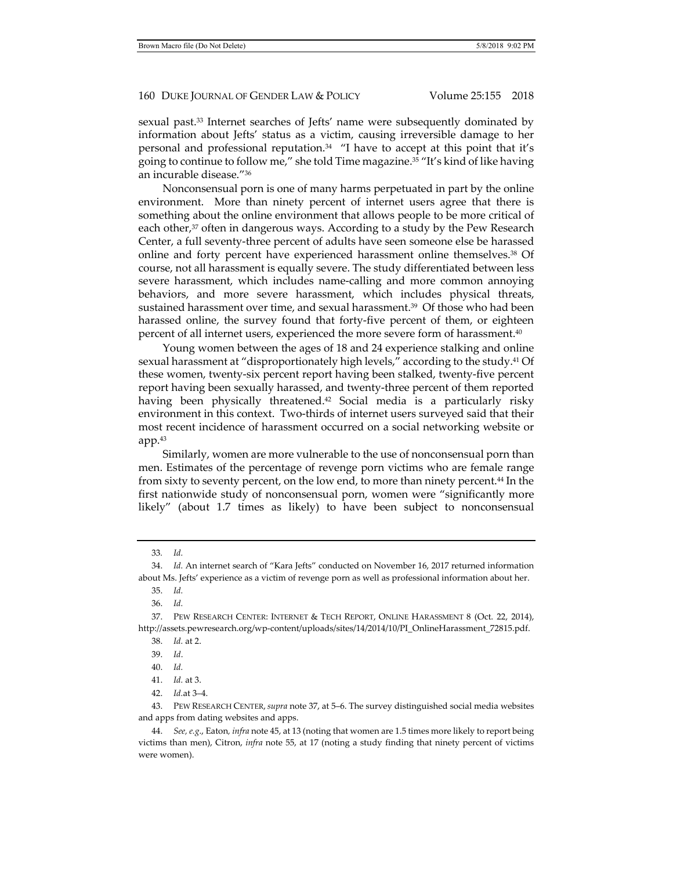sexual past.33 Internet searches of Jefts' name were subsequently dominated by information about Jefts' status as a victim, causing irreversible damage to her personal and professional reputation.<sup>34</sup> "I have to accept at this point that it's going to continue to follow me," she told Time magazine.35 "It's kind of like having an incurable disease."36

Nonconsensual porn is one of many harms perpetuated in part by the online environment. More than ninety percent of internet users agree that there is something about the online environment that allows people to be more critical of each other,<sup>37</sup> often in dangerous ways. According to a study by the Pew Research Center, a full seventy-three percent of adults have seen someone else be harassed online and forty percent have experienced harassment online themselves.38 Of course, not all harassment is equally severe. The study differentiated between less severe harassment, which includes name-calling and more common annoying behaviors, and more severe harassment, which includes physical threats, sustained harassment over time, and sexual harassment.39 Of those who had been harassed online, the survey found that forty-five percent of them, or eighteen percent of all internet users, experienced the more severe form of harassment.40

Young women between the ages of 18 and 24 experience stalking and online sexual harassment at "disproportionately high levels," according to the study.<sup>41</sup> Of these women, twenty-six percent report having been stalked, twenty-five percent report having been sexually harassed, and twenty-three percent of them reported having been physically threatened.<sup>42</sup> Social media is a particularly risky environment in this context. Two-thirds of internet users surveyed said that their most recent incidence of harassment occurred on a social networking website or app.43

Similarly, women are more vulnerable to the use of nonconsensual porn than men. Estimates of the percentage of revenge porn victims who are female range from sixty to seventy percent, on the low end, to more than ninety percent.44 In the first nationwide study of nonconsensual porn, women were "significantly more likely" (about 1.7 times as likely) to have been subject to nonconsensual

39. *Id*.

<sup>33</sup>*. Id.*

 <sup>34.</sup> *Id.* An internet search of "Kara Jefts" conducted on November 16, 2017 returned information about Ms. Jefts' experience as a victim of revenge porn as well as professional information about her.

 <sup>35.</sup> *Id.*

 <sup>36.</sup> *Id.*

 <sup>37.</sup> PEW RESEARCH CENTER: INTERNET & TECH REPORT, ONLINE HARASSMENT 8 (Oct. 22, 2014), http://assets.pewresearch.org/wp-content/uploads/sites/14/2014/10/PI\_OnlineHarassment\_72815.pdf.

 <sup>38.</sup> *Id.* at 2.

 <sup>40.</sup> *Id.*

 <sup>41.</sup> *Id.* at 3.

 <sup>42.</sup> *Id.*at 3–4.

 <sup>43.</sup> PEW RESEARCH CENTER,*supra* note 37, at 5–6. The survey distinguished social media websites and apps from dating websites and apps.

 <sup>44.</sup> *See, e.g*., Eaton*, infra* note 45, at 13 (noting that women are 1.5 times more likely to report being victims than men), Citron, *infra* note 55, at 17 (noting a study finding that ninety percent of victims were women).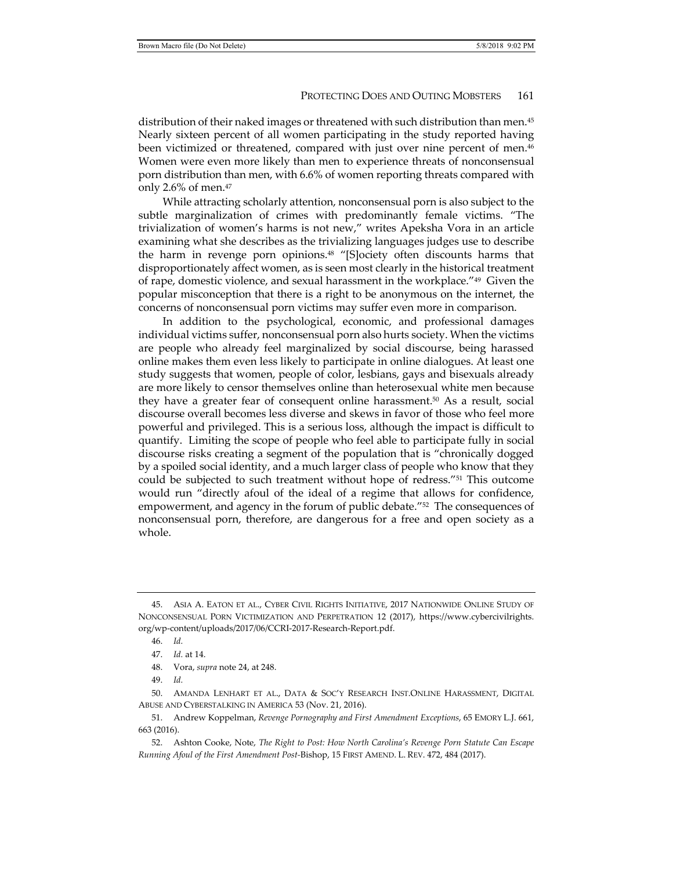distribution of their naked images or threatened with such distribution than men.45 Nearly sixteen percent of all women participating in the study reported having been victimized or threatened, compared with just over nine percent of men.46 Women were even more likely than men to experience threats of nonconsensual porn distribution than men, with 6.6% of women reporting threats compared with only 2.6% of men. $47$ 

While attracting scholarly attention, nonconsensual porn is also subject to the subtle marginalization of crimes with predominantly female victims. "The trivialization of women's harms is not new," writes Apeksha Vora in an article examining what she describes as the trivializing languages judges use to describe the harm in revenge porn opinions.48 "[S]ociety often discounts harms that disproportionately affect women, as is seen most clearly in the historical treatment of rape, domestic violence, and sexual harassment in the workplace."49 Given the popular misconception that there is a right to be anonymous on the internet, the concerns of nonconsensual porn victims may suffer even more in comparison.

In addition to the psychological, economic, and professional damages individual victims suffer, nonconsensual porn also hurts society. When the victims are people who already feel marginalized by social discourse, being harassed online makes them even less likely to participate in online dialogues. At least one study suggests that women, people of color, lesbians, gays and bisexuals already are more likely to censor themselves online than heterosexual white men because they have a greater fear of consequent online harassment.50 As a result, social discourse overall becomes less diverse and skews in favor of those who feel more powerful and privileged. This is a serious loss, although the impact is difficult to quantify. Limiting the scope of people who feel able to participate fully in social discourse risks creating a segment of the population that is "chronically dogged by a spoiled social identity, and a much larger class of people who know that they could be subjected to such treatment without hope of redress."51 This outcome would run "directly afoul of the ideal of a regime that allows for confidence, empowerment, and agency in the forum of public debate."52 The consequences of nonconsensual porn, therefore, are dangerous for a free and open society as a whole.

 <sup>45.</sup> ASIA A. EATON ET AL., CYBER CIVIL RIGHTS INITIATIVE, 2017 NATIONWIDE ONLINE STUDY OF NONCONSENSUAL PORN VICTIMIZATION AND PERPETRATION 12 (2017), https://www.cybercivilrights. org/wp-content/uploads/2017/06/CCRI-2017-Research-Report.pdf.

 <sup>46.</sup> *Id.*

 <sup>47.</sup> *Id.* at 14.

 <sup>48.</sup> Vora, *supra* note 24, at 248.

 <sup>49.</sup> *Id.*

 <sup>50.</sup> AMANDA LENHART ET AL., DATA & SOC'Y RESEARCH INST.ONLINE HARASSMENT, DIGITAL ABUSE AND CYBERSTALKING IN AMERICA 53 (Nov. 21, 2016).

 <sup>51.</sup> Andrew Koppelman, *Revenge Pornography and First Amendment Exceptions*, 65 EMORY L.J. 661, 663 (2016).

 <sup>52.</sup> Ashton Cooke, Note, *The Right to Post: How North Carolina's Revenge Porn Statute Can Escape Running Afoul of the First Amendment Post-*Bishop, 15 FIRST AMEND. L. REV. 472, 484 (2017).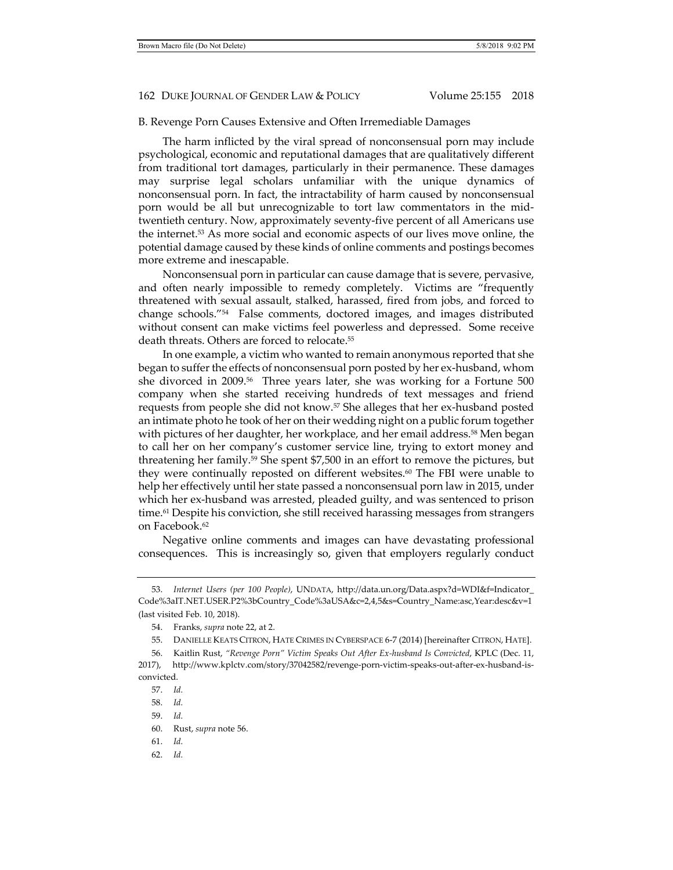# B. Revenge Porn Causes Extensive and Often Irremediable Damages

The harm inflicted by the viral spread of nonconsensual porn may include psychological, economic and reputational damages that are qualitatively different from traditional tort damages, particularly in their permanence. These damages may surprise legal scholars unfamiliar with the unique dynamics of nonconsensual porn. In fact, the intractability of harm caused by nonconsensual porn would be all but unrecognizable to tort law commentators in the midtwentieth century. Now, approximately seventy-five percent of all Americans use the internet.53 As more social and economic aspects of our lives move online, the potential damage caused by these kinds of online comments and postings becomes more extreme and inescapable.

Nonconsensual porn in particular can cause damage that is severe, pervasive, and often nearly impossible to remedy completely. Victims are "frequently threatened with sexual assault, stalked, harassed, fired from jobs, and forced to change schools."54 False comments, doctored images, and images distributed without consent can make victims feel powerless and depressed. Some receive death threats. Others are forced to relocate.55

In one example, a victim who wanted to remain anonymous reported that she began to suffer the effects of nonconsensual porn posted by her ex-husband, whom she divorced in 2009.<sup>56</sup> Three years later, she was working for a Fortune 500 company when she started receiving hundreds of text messages and friend requests from people she did not know.57 She alleges that her ex-husband posted an intimate photo he took of her on their wedding night on a public forum together with pictures of her daughter, her workplace, and her email address.<sup>58</sup> Men began to call her on her company's customer service line, trying to extort money and threatening her family.59 She spent \$7,500 in an effort to remove the pictures, but they were continually reposted on different websites.60 The FBI were unable to help her effectively until her state passed a nonconsensual porn law in 2015, under which her ex-husband was arrested, pleaded guilty, and was sentenced to prison time.<sup>61</sup> Despite his conviction, she still received harassing messages from strangers on Facebook.<sup>62</sup>

Negative online comments and images can have devastating professional consequences. This is increasingly so, given that employers regularly conduct

62. *Id.*

 <sup>53.</sup> *Internet Users (per 100 People)*, UNDATA, http://data.un.org/Data.aspx?d=WDI&f=Indicator\_ Code%3aIT.NET.USER.P2%3bCountry\_Code%3aUSA&c=2,4,5&s=Country\_Name:asc,Year:desc&v=1 (last visited Feb. 10, 2018).

 <sup>54.</sup> Franks, *supra* note 22, at 2.

 <sup>55.</sup> DANIELLE KEATS CITRON, HATE CRIMES IN CYBERSPACE 6-7 (2014) [hereinafter CITRON, HATE].

 <sup>56.</sup> Kaitlin Rust, *"Revenge Porn" Victim Speaks Out After Ex-husband Is Convicted*, KPLC (Dec. 11, 2017), http://www.kplctv.com/story/37042582/revenge-porn-victim-speaks-out-after-ex-husband-isconvicted.

 <sup>57.</sup> *Id.*

 <sup>58.</sup> *Id.*

 <sup>59.</sup> *Id.*

 <sup>60.</sup> Rust, *supra* note 56.

 <sup>61.</sup> *Id.*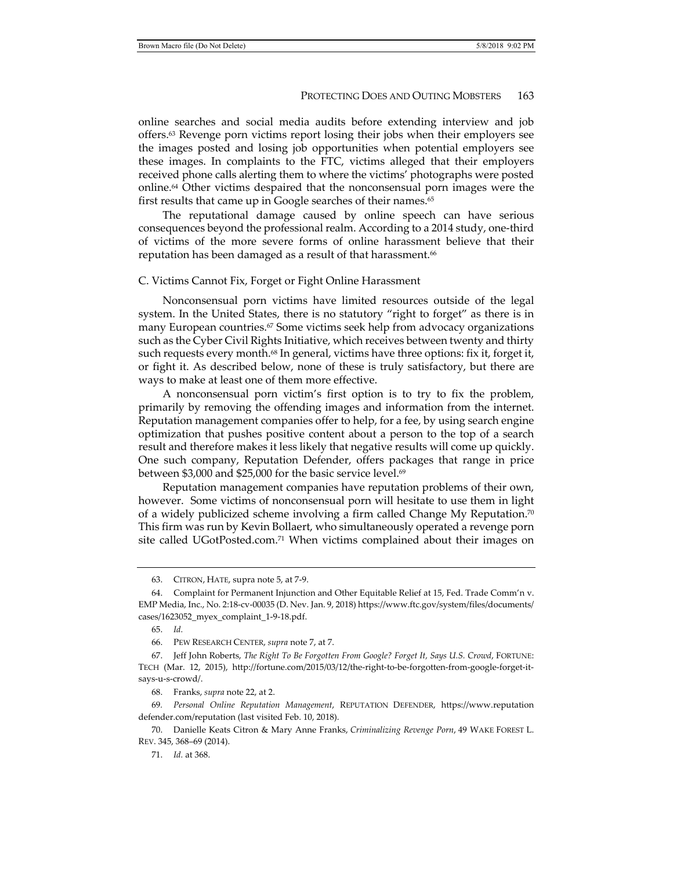online searches and social media audits before extending interview and job offers.63 Revenge porn victims report losing their jobs when their employers see the images posted and losing job opportunities when potential employers see these images. In complaints to the FTC, victims alleged that their employers received phone calls alerting them to where the victims' photographs were posted online.64 Other victims despaired that the nonconsensual porn images were the first results that came up in Google searches of their names.<sup>65</sup>

The reputational damage caused by online speech can have serious consequences beyond the professional realm. According to a 2014 study, one-third of victims of the more severe forms of online harassment believe that their reputation has been damaged as a result of that harassment.<sup>66</sup>

#### C. Victims Cannot Fix, Forget or Fight Online Harassment

Nonconsensual porn victims have limited resources outside of the legal system. In the United States, there is no statutory "right to forget" as there is in many European countries.<sup>67</sup> Some victims seek help from advocacy organizations such as the Cyber Civil Rights Initiative, which receives between twenty and thirty such requests every month.<sup>68</sup> In general, victims have three options: fix it, forget it, or fight it. As described below, none of these is truly satisfactory, but there are ways to make at least one of them more effective.

A nonconsensual porn victim's first option is to try to fix the problem, primarily by removing the offending images and information from the internet. Reputation management companies offer to help, for a fee, by using search engine optimization that pushes positive content about a person to the top of a search result and therefore makes it less likely that negative results will come up quickly. One such company, Reputation Defender, offers packages that range in price between \$3,000 and \$25,000 for the basic service level. $69$ 

Reputation management companies have reputation problems of their own, however. Some victims of nonconsensual porn will hesitate to use them in light of a widely publicized scheme involving a firm called Change My Reputation.<sup>70</sup> This firm was run by Kevin Bollaert, who simultaneously operated a revenge porn site called UGotPosted.com.71 When victims complained about their images on

 <sup>63.</sup> CITRON, HATE, supra note 5, at 7-9.

 <sup>64.</sup> Complaint for Permanent Injunction and Other Equitable Relief at 15, Fed. Trade Comm'n v. EMP Media, Inc., No. 2:18-cv-00035 (D. Nev. Jan. 9, 2018) https://www.ftc.gov/system/files/documents/ cases/1623052\_myex\_complaint\_1-9-18.pdf.

 <sup>65.</sup> *Id.*

 <sup>66.</sup> PEW RESEARCH CENTER, *supra* note 7, at 7.

 <sup>67.</sup> Jeff John Roberts, *The Right To Be Forgotten From Google? Forget It, Says U.S. Crowd*, FORTUNE: TECH (Mar. 12, 2015), http://fortune.com/2015/03/12/the-right-to-be-forgotten-from-google-forget-itsays-u-s-crowd/.

 <sup>68.</sup> Franks, *supra* note 22, at 2.

<sup>69</sup>*. Personal Online Reputation Management*, REPUTATION DEFENDER, https://www.reputation defender.com/reputation (last visited Feb. 10, 2018).

 <sup>70.</sup> Danielle Keats Citron & Mary Anne Franks, *Criminalizing Revenge Porn*, 49 WAKE FOREST L. REV. 345, 368–69 (2014).

 <sup>71.</sup> *Id.* at 368.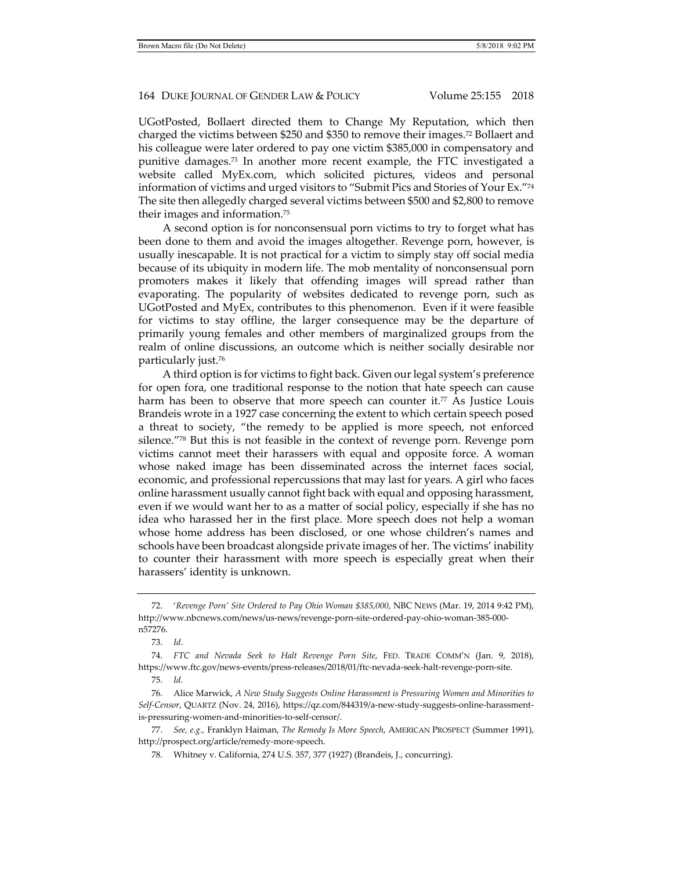UGotPosted, Bollaert directed them to Change My Reputation, which then charged the victims between \$250 and \$350 to remove their images.72 Bollaert and his colleague were later ordered to pay one victim \$385,000 in compensatory and punitive damages.73 In another more recent example, the FTC investigated a website called MyEx.com, which solicited pictures, videos and personal information of victims and urged visitors to "Submit Pics and Stories of Your Ex."74 The site then allegedly charged several victims between \$500 and \$2,800 to remove their images and information.75

A second option is for nonconsensual porn victims to try to forget what has been done to them and avoid the images altogether. Revenge porn, however, is usually inescapable. It is not practical for a victim to simply stay off social media because of its ubiquity in modern life. The mob mentality of nonconsensual porn promoters makes it likely that offending images will spread rather than evaporating. The popularity of websites dedicated to revenge porn, such as UGotPosted and MyEx, contributes to this phenomenon. Even if it were feasible for victims to stay offline, the larger consequence may be the departure of primarily young females and other members of marginalized groups from the realm of online discussions, an outcome which is neither socially desirable nor particularly just.76

A third option is for victims to fight back. Given our legal system's preference for open fora, one traditional response to the notion that hate speech can cause harm has been to observe that more speech can counter it.<sup>77</sup> As Justice Louis Brandeis wrote in a 1927 case concerning the extent to which certain speech posed a threat to society, "the remedy to be applied is more speech, not enforced silence."78 But this is not feasible in the context of revenge porn. Revenge porn victims cannot meet their harassers with equal and opposite force. A woman whose naked image has been disseminated across the internet faces social, economic, and professional repercussions that may last for years. A girl who faces online harassment usually cannot fight back with equal and opposing harassment, even if we would want her to as a matter of social policy, especially if she has no idea who harassed her in the first place. More speech does not help a woman whose home address has been disclosed, or one whose children's names and schools have been broadcast alongside private images of her. The victims' inability to counter their harassment with more speech is especially great when their harassers' identity is unknown.

75. *Id.*

 <sup>72. &#</sup>x27;*Revenge Porn' Site Ordered to Pay Ohio Woman \$385,000*, NBC NEWS (Mar. 19, 2014 9:42 PM), http://www.nbcnews.com/news/us-news/revenge-porn-site-ordered-pay-ohio-woman-385-000 n57276.

 <sup>73.</sup> *Id*.

 <sup>74.</sup> *FTC and Nevada Seek to Halt Revenge Porn Site*, FED. TRADE COMM'N (Jan. 9, 2018), https://www.ftc.gov/news-events/press-releases/2018/01/ftc-nevada-seek-halt-revenge-porn-site.

 <sup>76.</sup> Alice Marwick, *A New Study Suggests Online Harassment is Pressuring Women and Minorities to Self-Censor*, QUARTZ (Nov. 24, 2016), https://qz.com/844319/a-new-study-suggests-online-harassmentis-pressuring-women-and-minorities-to-self-censor/.

 <sup>77.</sup> *See, e.g.,* Franklyn Haiman, *The Remedy Is More Speech*, AMERICAN PROSPECT (Summer 1991), http://prospect.org/article/remedy-more-speech.

 <sup>78.</sup> Whitney v. California, 274 U.S. 357, 377 (1927) (Brandeis, J., concurring).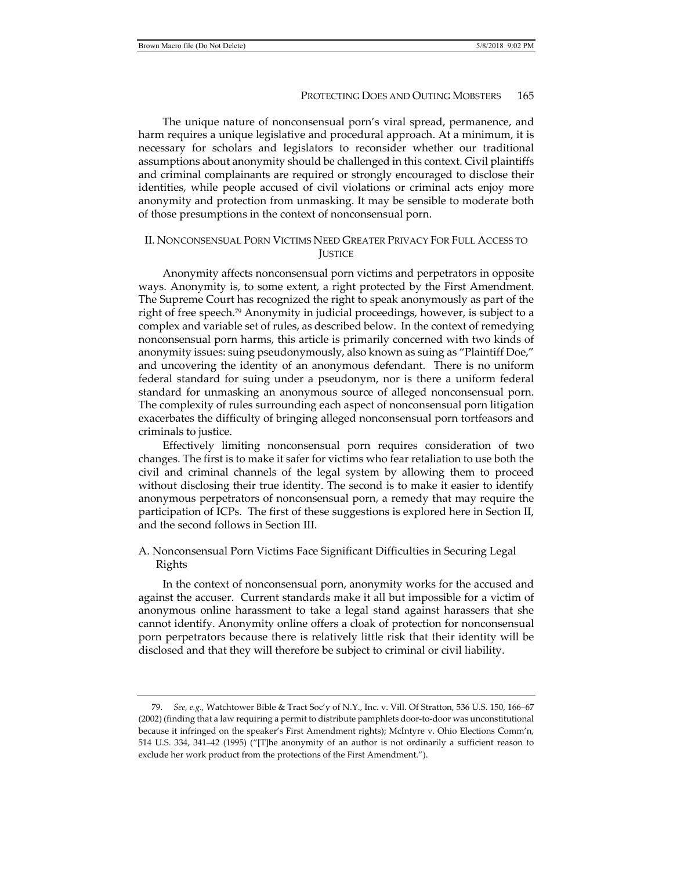The unique nature of nonconsensual porn's viral spread, permanence, and harm requires a unique legislative and procedural approach. At a minimum, it is necessary for scholars and legislators to reconsider whether our traditional assumptions about anonymity should be challenged in this context. Civil plaintiffs and criminal complainants are required or strongly encouraged to disclose their identities, while people accused of civil violations or criminal acts enjoy more anonymity and protection from unmasking. It may be sensible to moderate both of those presumptions in the context of nonconsensual porn.

# II. NONCONSENSUAL PORN VICTIMS NEED GREATER PRIVACY FOR FULL ACCESS TO **IUSTICE**

Anonymity affects nonconsensual porn victims and perpetrators in opposite ways. Anonymity is, to some extent, a right protected by the First Amendment. The Supreme Court has recognized the right to speak anonymously as part of the right of free speech.79 Anonymity in judicial proceedings, however, is subject to a complex and variable set of rules, as described below. In the context of remedying nonconsensual porn harms, this article is primarily concerned with two kinds of anonymity issues: suing pseudonymously, also known as suing as "Plaintiff Doe," and uncovering the identity of an anonymous defendant. There is no uniform federal standard for suing under a pseudonym, nor is there a uniform federal standard for unmasking an anonymous source of alleged nonconsensual porn. The complexity of rules surrounding each aspect of nonconsensual porn litigation exacerbates the difficulty of bringing alleged nonconsensual porn tortfeasors and criminals to justice.

Effectively limiting nonconsensual porn requires consideration of two changes. The first is to make it safer for victims who fear retaliation to use both the civil and criminal channels of the legal system by allowing them to proceed without disclosing their true identity. The second is to make it easier to identify anonymous perpetrators of nonconsensual porn, a remedy that may require the participation of ICPs. The first of these suggestions is explored here in Section II, and the second follows in Section III.

# A. Nonconsensual Porn Victims Face Significant Difficulties in Securing Legal Rights

In the context of nonconsensual porn, anonymity works for the accused and against the accuser. Current standards make it all but impossible for a victim of anonymous online harassment to take a legal stand against harassers that she cannot identify. Anonymity online offers a cloak of protection for nonconsensual porn perpetrators because there is relatively little risk that their identity will be disclosed and that they will therefore be subject to criminal or civil liability.

 <sup>79.</sup> *See, e.g.,* Watchtower Bible & Tract Soc'y of N.Y., Inc. v. Vill. Of Stratton, 536 U.S. 150, 166–67 (2002) (finding that a law requiring a permit to distribute pamphlets door-to-door was unconstitutional because it infringed on the speaker's First Amendment rights); McIntyre v. Ohio Elections Comm'n, 514 U.S. 334, 341–42 (1995) ("[T]he anonymity of an author is not ordinarily a sufficient reason to exclude her work product from the protections of the First Amendment.").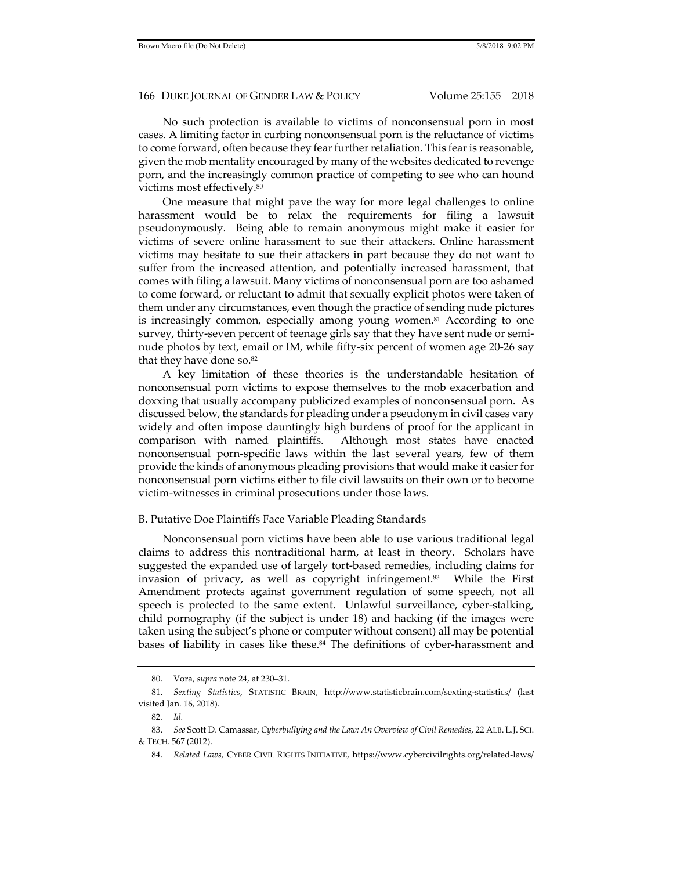No such protection is available to victims of nonconsensual porn in most cases. A limiting factor in curbing nonconsensual porn is the reluctance of victims to come forward, often because they fear further retaliation. This fear is reasonable, given the mob mentality encouraged by many of the websites dedicated to revenge porn, and the increasingly common practice of competing to see who can hound victims most effectively.80

One measure that might pave the way for more legal challenges to online harassment would be to relax the requirements for filing a lawsuit pseudonymously. Being able to remain anonymous might make it easier for victims of severe online harassment to sue their attackers. Online harassment victims may hesitate to sue their attackers in part because they do not want to suffer from the increased attention, and potentially increased harassment, that comes with filing a lawsuit. Many victims of nonconsensual porn are too ashamed to come forward, or reluctant to admit that sexually explicit photos were taken of them under any circumstances, even though the practice of sending nude pictures is increasingly common, especially among young women.<sup>81</sup> According to one survey, thirty-seven percent of teenage girls say that they have sent nude or seminude photos by text, email or IM, while fifty-six percent of women age 20-26 say that they have done so.<sup>82</sup>

A key limitation of these theories is the understandable hesitation of nonconsensual porn victims to expose themselves to the mob exacerbation and doxxing that usually accompany publicized examples of nonconsensual porn. As discussed below, the standards for pleading under a pseudonym in civil cases vary widely and often impose dauntingly high burdens of proof for the applicant in comparison with named plaintiffs. Although most states have enacted nonconsensual porn-specific laws within the last several years, few of them provide the kinds of anonymous pleading provisions that would make it easier for nonconsensual porn victims either to file civil lawsuits on their own or to become victim-witnesses in criminal prosecutions under those laws.

### B. Putative Doe Plaintiffs Face Variable Pleading Standards

Nonconsensual porn victims have been able to use various traditional legal claims to address this nontraditional harm, at least in theory. Scholars have suggested the expanded use of largely tort-based remedies, including claims for invasion of privacy, as well as copyright infringement.83 While the First Amendment protects against government regulation of some speech, not all speech is protected to the same extent. Unlawful surveillance, cyber-stalking, child pornography (if the subject is under 18) and hacking (if the images were taken using the subject's phone or computer without consent) all may be potential bases of liability in cases like these.84 The definitions of cyber-harassment and

 <sup>80.</sup> Vora, *supra* note 24, at 230–31.

 <sup>81.</sup> *Sexting Statistics*, STATISTIC BRAIN, http://www.statisticbrain.com/sexting-statistics/ (last visited Jan. 16, 2018).

<sup>82</sup>*. Id.*

 <sup>83.</sup> *See* Scott D. Camassar, *Cyberbullying and the Law: An Overview of Civil Remedies*, 22 ALB. L.J. SCI. & TECH. 567 (2012).

 <sup>84.</sup> *Related Laws*, CYBER CIVIL RIGHTS INITIATIVE, https://www.cybercivilrights.org/related-laws/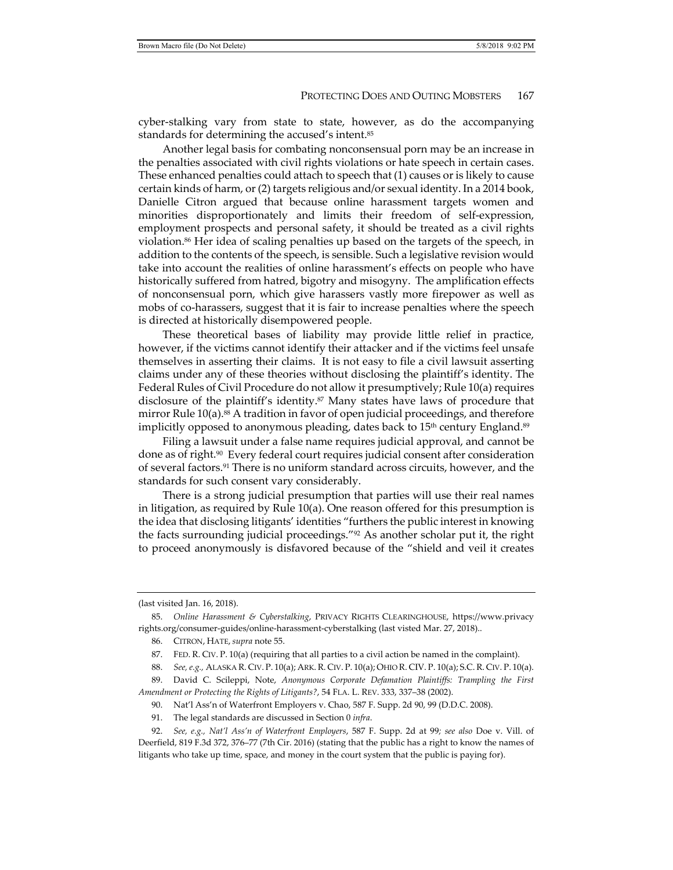cyber-stalking vary from state to state, however, as do the accompanying standards for determining the accused's intent.85

Another legal basis for combating nonconsensual porn may be an increase in the penalties associated with civil rights violations or hate speech in certain cases. These enhanced penalties could attach to speech that (1) causes or is likely to cause certain kinds of harm, or (2) targets religious and/or sexual identity. In a 2014 book, Danielle Citron argued that because online harassment targets women and minorities disproportionately and limits their freedom of self-expression, employment prospects and personal safety, it should be treated as a civil rights violation.<sup>86</sup> Her idea of scaling penalties up based on the targets of the speech, in addition to the contents of the speech, is sensible. Such a legislative revision would take into account the realities of online harassment's effects on people who have historically suffered from hatred, bigotry and misogyny. The amplification effects of nonconsensual porn, which give harassers vastly more firepower as well as mobs of co-harassers, suggest that it is fair to increase penalties where the speech is directed at historically disempowered people.

These theoretical bases of liability may provide little relief in practice, however, if the victims cannot identify their attacker and if the victims feel unsafe themselves in asserting their claims. It is not easy to file a civil lawsuit asserting claims under any of these theories without disclosing the plaintiff's identity. The Federal Rules of Civil Procedure do not allow it presumptively; Rule 10(a) requires disclosure of the plaintiff's identity.<sup>87</sup> Many states have laws of procedure that mirror Rule 10(a).88 A tradition in favor of open judicial proceedings, and therefore implicitly opposed to anonymous pleading, dates back to 15<sup>th</sup> century England.<sup>89</sup>

Filing a lawsuit under a false name requires judicial approval, and cannot be done as of right.90 Every federal court requires judicial consent after consideration of several factors.91 There is no uniform standard across circuits, however, and the standards for such consent vary considerably.

There is a strong judicial presumption that parties will use their real names in litigation, as required by Rule 10(a). One reason offered for this presumption is the idea that disclosing litigants' identities "furthers the public interest in knowing the facts surrounding judicial proceedings."92 As another scholar put it, the right to proceed anonymously is disfavored because of the "shield and veil it creates

90. Nat'l Ass'n of Waterfront Employers v. Chao, 587 F. Supp. 2d 90, 99 (D.D.C. 2008).

<sup>(</sup>last visited Jan. 16, 2018).

 <sup>85.</sup> *Online Harassment & Cyberstalking*, PRIVACY RIGHTS CLEARINGHOUSE, https://www.privacy rights.org/consumer-guides/online-harassment-cyberstalking (last visted Mar. 27, 2018)..

 <sup>86.</sup> CITRON, HATE, *supra* note 55.

 <sup>87.</sup> FED. R. CIV. P. 10(a) (requiring that all parties to a civil action be named in the complaint).

 <sup>88.</sup> *See, e.g.,* ALASKA R. CIV. P. 10(a); ARK. R. CIV. P. 10(a); OHIO R. CIV. P. 10(a); S.C. R. CIV. P. 10(a).

 <sup>89.</sup> David C. Scileppi, Note, *Anonymous Corporate Defamation Plaintiffs: Trampling the First Amendment or Protecting the Rights of Litigants?*, 54 FLA. L. REV. 333, 337–38 (2002).

 <sup>91.</sup> The legal standards are discussed in Section 0 *infra*.

 <sup>92.</sup> *See, e.g., Nat'l Ass'n of Waterfront Employers*, 587 F. Supp. 2d at 99*; see also* Doe v. Vill. of Deerfield, 819 F.3d 372, 376–77 (7th Cir. 2016) (stating that the public has a right to know the names of litigants who take up time, space, and money in the court system that the public is paying for).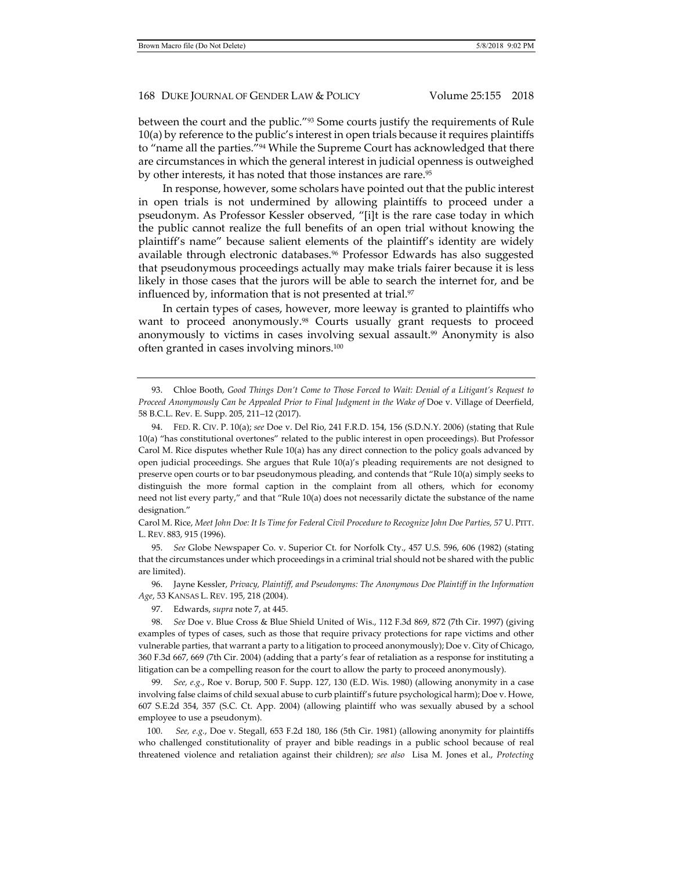between the court and the public."93 Some courts justify the requirements of Rule 10(a) by reference to the public's interest in open trials because it requires plaintiffs to "name all the parties."<sup>94</sup> While the Supreme Court has acknowledged that there are circumstances in which the general interest in judicial openness is outweighed by other interests, it has noted that those instances are rare.95

In response, however, some scholars have pointed out that the public interest in open trials is not undermined by allowing plaintiffs to proceed under a pseudonym. As Professor Kessler observed, "[i]t is the rare case today in which the public cannot realize the full benefits of an open trial without knowing the plaintiff's name" because salient elements of the plaintiff's identity are widely available through electronic databases.96 Professor Edwards has also suggested that pseudonymous proceedings actually may make trials fairer because it is less likely in those cases that the jurors will be able to search the internet for, and be influenced by, information that is not presented at trial.<sup>97</sup>

In certain types of cases, however, more leeway is granted to plaintiffs who want to proceed anonymously.98 Courts usually grant requests to proceed anonymously to victims in cases involving sexual assault.<sup>99</sup> Anonymity is also often granted in cases involving minors.100

Carol M. Rice, *Meet John Doe: It Is Time for Federal Civil Procedure to Recognize John Doe Parties, 57* U. PITT. L. REV. 883, 915 (1996).

 95. *See* Globe Newspaper Co. v. Superior Ct. for Norfolk Cty., 457 U.S. 596, 606 (1982) (stating that the circumstances under which proceedings in a criminal trial should not be shared with the public are limited).

 96. Jayne Kessler, *Privacy, Plaintiff, and Pseudonyms: The Anonymous Doe Plaintiff in the Information Age*, 53 KANSAS L. REV. 195, 218 (2004).

97. Edwards, *supra* note 7, at 445.

 98. *See* Doe v. Blue Cross & Blue Shield United of Wis., 112 F.3d 869, 872 (7th Cir. 1997) (giving examples of types of cases, such as those that require privacy protections for rape victims and other vulnerable parties, that warrant a party to a litigation to proceed anonymously); Doe v. City of Chicago, 360 F.3d 667, 669 (7th Cir. 2004) (adding that a party's fear of retaliation as a response for instituting a litigation can be a compelling reason for the court to allow the party to proceed anonymously).

 99. *See, e.g.*, Roe v. Borup, 500 F. Supp. 127, 130 (E.D. Wis. 1980) (allowing anonymity in a case involving false claims of child sexual abuse to curb plaintiff's future psychological harm); Doe v. Howe, 607 S.E.2d 354, 357 (S.C. Ct. App. 2004) (allowing plaintiff who was sexually abused by a school employee to use a pseudonym).

 100. *See, e.g.*, Doe v. Stegall, 653 F.2d 180, 186 (5th Cir. 1981) (allowing anonymity for plaintiffs who challenged constitutionality of prayer and bible readings in a public school because of real threatened violence and retaliation against their children); *see also* Lisa M. Jones et al., *Protecting* 

 <sup>93.</sup> Chloe Booth, *Good Things Don't Come to Those Forced to Wait: Denial of a Litigant's Request to Proceed Anonymously Can be Appealed Prior to Final Judgment in the Wake of* Doe v. Village of Deerfield, 58 B.C.L. Rev. E. Supp. 205, 211–12 (2017).

 <sup>94.</sup> FED. R. CIV. P. 10(a); *see* Doe v. Del Rio, 241 F.R.D. 154, 156 (S.D.N.Y. 2006) (stating that Rule 10(a) "has constitutional overtones" related to the public interest in open proceedings). But Professor Carol M. Rice disputes whether Rule 10(a) has any direct connection to the policy goals advanced by open judicial proceedings. She argues that Rule 10(a)'s pleading requirements are not designed to preserve open courts or to bar pseudonymous pleading, and contends that "Rule 10(a) simply seeks to distinguish the more formal caption in the complaint from all others, which for economy need not list every party," and that "Rule 10(a) does not necessarily dictate the substance of the name designation."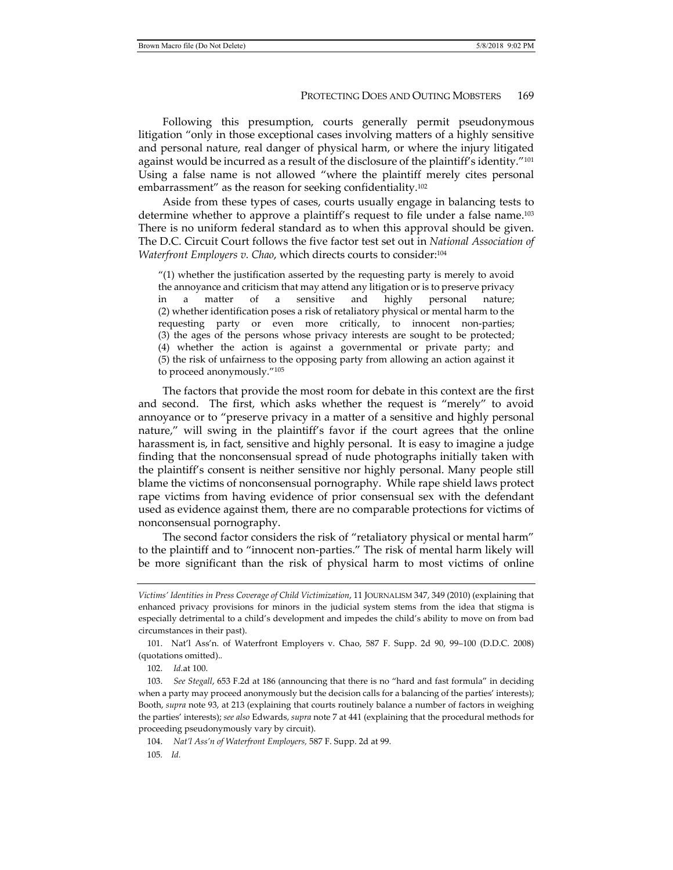Following this presumption, courts generally permit pseudonymous litigation "only in those exceptional cases involving matters of a highly sensitive and personal nature, real danger of physical harm, or where the injury litigated against would be incurred as a result of the disclosure of the plaintiff's identity."101 Using a false name is not allowed "where the plaintiff merely cites personal embarrassment" as the reason for seeking confidentiality.102

Aside from these types of cases, courts usually engage in balancing tests to determine whether to approve a plaintiff's request to file under a false name.103 There is no uniform federal standard as to when this approval should be given. The D.C. Circuit Court follows the five factor test set out in *National Association of Waterfront Employers v. Chao*, which directs courts to consider:104

 $''(1)$  whether the justification asserted by the requesting party is merely to avoid the annoyance and criticism that may attend any litigation or is to preserve privacy in a matter of a sensitive and highly personal nature; (2) whether identification poses a risk of retaliatory physical or mental harm to the requesting party or even more critically, to innocent non-parties; (3) the ages of the persons whose privacy interests are sought to be protected; (4) whether the action is against a governmental or private party; and (5) the risk of unfairness to the opposing party from allowing an action against it to proceed anonymously."105

The factors that provide the most room for debate in this context are the first and second. The first, which asks whether the request is "merely" to avoid annoyance or to "preserve privacy in a matter of a sensitive and highly personal nature," will swing in the plaintiff's favor if the court agrees that the online harassment is, in fact, sensitive and highly personal. It is easy to imagine a judge finding that the nonconsensual spread of nude photographs initially taken with the plaintiff's consent is neither sensitive nor highly personal. Many people still blame the victims of nonconsensual pornography. While rape shield laws protect rape victims from having evidence of prior consensual sex with the defendant used as evidence against them, there are no comparable protections for victims of nonconsensual pornography.

The second factor considers the risk of "retaliatory physical or mental harm" to the plaintiff and to "innocent non-parties." The risk of mental harm likely will be more significant than the risk of physical harm to most victims of online

*Victims' Identities in Press Coverage of Child Victimization*, 11 JOURNALISM 347, 349 (2010) (explaining that enhanced privacy provisions for minors in the judicial system stems from the idea that stigma is especially detrimental to a child's development and impedes the child's ability to move on from bad circumstances in their past).

 <sup>101.</sup> Nat'l Ass'n. of Waterfront Employers v. Chao, 587 F. Supp. 2d 90, 99–100 (D.D.C. 2008) (quotations omitted).*.*

 <sup>102.</sup> *Id.*at 100.

 <sup>103.</sup> *See Stegall*, 653 F.2d at 186 (announcing that there is no "hard and fast formula" in deciding when a party may proceed anonymously but the decision calls for a balancing of the parties' interests); Booth, *supra* note 93, at 213 (explaining that courts routinely balance a number of factors in weighing the parties' interests); *see also* Edwards, *supra* note 7 at 441 (explaining that the procedural methods for proceeding pseudonymously vary by circuit).

 <sup>104.</sup> *Nat'l Ass'n of Waterfront Employers,* 587 F. Supp. 2d at 99*.*

<sup>105</sup>*. Id.*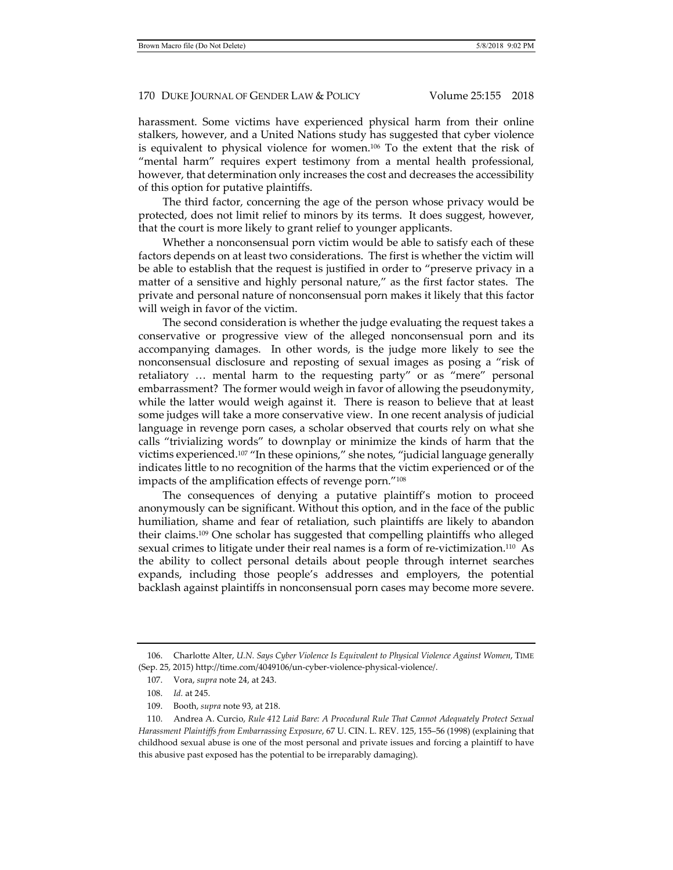harassment. Some victims have experienced physical harm from their online stalkers, however, and a United Nations study has suggested that cyber violence is equivalent to physical violence for women.106 To the extent that the risk of "mental harm" requires expert testimony from a mental health professional, however, that determination only increases the cost and decreases the accessibility of this option for putative plaintiffs.

The third factor, concerning the age of the person whose privacy would be protected, does not limit relief to minors by its terms. It does suggest, however, that the court is more likely to grant relief to younger applicants.

Whether a nonconsensual porn victim would be able to satisfy each of these factors depends on at least two considerations. The first is whether the victim will be able to establish that the request is justified in order to "preserve privacy in a matter of a sensitive and highly personal nature," as the first factor states. The private and personal nature of nonconsensual porn makes it likely that this factor will weigh in favor of the victim.

The second consideration is whether the judge evaluating the request takes a conservative or progressive view of the alleged nonconsensual porn and its accompanying damages. In other words, is the judge more likely to see the nonconsensual disclosure and reposting of sexual images as posing a "risk of retaliatory … mental harm to the requesting party" or as "mere" personal embarrassment? The former would weigh in favor of allowing the pseudonymity, while the latter would weigh against it. There is reason to believe that at least some judges will take a more conservative view. In one recent analysis of judicial language in revenge porn cases, a scholar observed that courts rely on what she calls "trivializing words" to downplay or minimize the kinds of harm that the victims experienced.107 "In these opinions," she notes, "judicial language generally indicates little to no recognition of the harms that the victim experienced or of the impacts of the amplification effects of revenge porn."108

The consequences of denying a putative plaintiff's motion to proceed anonymously can be significant. Without this option, and in the face of the public humiliation, shame and fear of retaliation, such plaintiffs are likely to abandon their claims.109 One scholar has suggested that compelling plaintiffs who alleged sexual crimes to litigate under their real names is a form of re-victimization.110 As the ability to collect personal details about people through internet searches expands, including those people's addresses and employers, the potential backlash against plaintiffs in nonconsensual porn cases may become more severe.

 <sup>106.</sup> Charlotte Alter, *U.N. Says Cyber Violence Is Equivalent to Physical Violence Against Women*, TIME (Sep. 25, 2015) http://time.com/4049106/un-cyber-violence-physical-violence/.

 <sup>107.</sup> Vora, *supra* note 24, at 243.

 <sup>108.</sup> *Id.* at 245.

 <sup>109.</sup> Booth, *supra* note 93, at 218.

 <sup>110.</sup> Andrea A. Curcio, *Rule 412 Laid Bare: A Procedural Rule That Cannot Adequately Protect Sexual Harassment Plaintiffs from Embarrassing Exposure*, 67 U. CIN. L. REV. 125, 155–56 (1998) (explaining that childhood sexual abuse is one of the most personal and private issues and forcing a plaintiff to have this abusive past exposed has the potential to be irreparably damaging).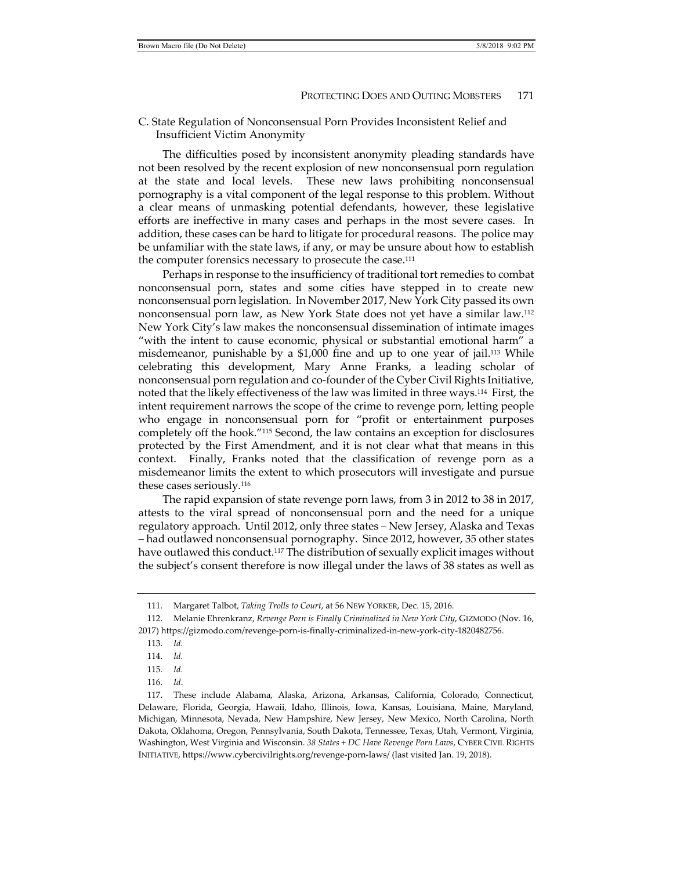C. State Regulation of Nonconsensual Porn Provides Inconsistent Relief and Insufficient Victim Anonymity

The difficulties posed by inconsistent anonymity pleading standards have not been resolved by the recent explosion of new nonconsensual porn regulation at the state and local levels. These new laws prohibiting nonconsensual pornography is a vital component of the legal response to this problem. Without a clear means of unmasking potential defendants, however, these legislative efforts are ineffective in many cases and perhaps in the most severe cases. In addition, these cases can be hard to litigate for procedural reasons. The police may be unfamiliar with the state laws, if any, or may be unsure about how to establish the computer forensics necessary to prosecute the case.111

Perhaps in response to the insufficiency of traditional tort remedies to combat nonconsensual porn, states and some cities have stepped in to create new nonconsensual porn legislation. In November 2017, New York City passed its own nonconsensual porn law, as New York State does not yet have a similar law.112 New York City's law makes the nonconsensual dissemination of intimate images "with the intent to cause economic, physical or substantial emotional harm" a misdemeanor, punishable by a \$1,000 fine and up to one year of jail.113 While celebrating this development, Mary Anne Franks, a leading scholar of nonconsensual porn regulation and co-founder of the Cyber Civil Rights Initiative, noted that the likely effectiveness of the law was limited in three ways.114 First, the intent requirement narrows the scope of the crime to revenge porn, letting people who engage in nonconsensual porn for "profit or entertainment purposes completely off the hook."115 Second, the law contains an exception for disclosures protected by the First Amendment, and it is not clear what that means in this context. Finally, Franks noted that the classification of revenge porn as a misdemeanor limits the extent to which prosecutors will investigate and pursue these cases seriously.116

The rapid expansion of state revenge porn laws, from 3 in 2012 to 38 in 2017, attests to the viral spread of nonconsensual porn and the need for a unique regulatory approach. Until 2012, only three states – New Jersey, Alaska and Texas – had outlawed nonconsensual pornography. Since 2012, however, 35 other states have outlawed this conduct.<sup>117</sup> The distribution of sexually explicit images without the subject's consent therefore is now illegal under the laws of 38 states as well as

- 113. *Id.*
- 114. *Id.*
- 115. *Id.*
- 116. *Id*.

 <sup>111.</sup> Margaret Talbot, *Taking Trolls to Court*, at 56 NEW YORKER, Dec. 15, 2016.

 <sup>112.</sup> Melanie Ehrenkranz, *Revenge Porn is Finally Criminalized in New York City*, GIZMODO (Nov. 16, 2017) https://gizmodo.com/revenge-porn-is-finally-criminalized-in-new-york-city-1820482756.

 <sup>117.</sup> These include Alabama, Alaska, Arizona, Arkansas, California, Colorado, Connecticut, Delaware, Florida, Georgia, Hawaii, Idaho, Illinois, Iowa, Kansas, Louisiana, Maine, Maryland, Michigan, Minnesota, Nevada, New Hampshire, New Jersey, New Mexico, North Carolina, North Dakota, Oklahoma, Oregon, Pennsylvania, South Dakota, Tennessee, Texas, Utah, Vermont, Virginia, Washington, West Virginia and Wisconsin. *38 States + DC Have Revenge Porn Laws*, CYBER CIVIL RIGHTS INITIATIVE, https://www.cybercivilrights.org/revenge-porn-laws/ (last visited Jan. 19, 2018).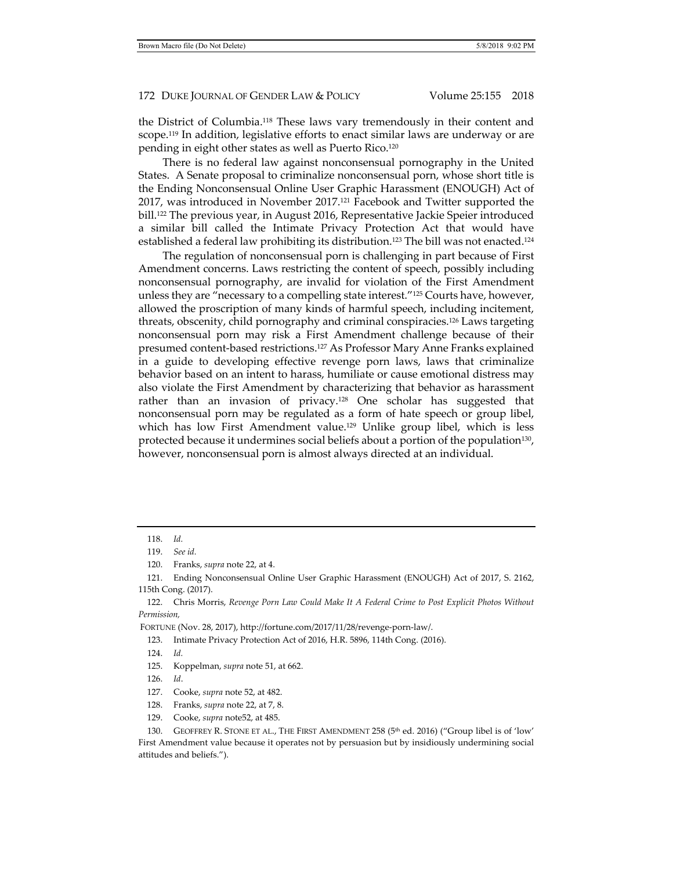the District of Columbia.118 These laws vary tremendously in their content and scope.119 In addition, legislative efforts to enact similar laws are underway or are pending in eight other states as well as Puerto Rico.120

There is no federal law against nonconsensual pornography in the United States. A Senate proposal to criminalize nonconsensual porn, whose short title is the Ending Nonconsensual Online User Graphic Harassment (ENOUGH) Act of 2017, was introduced in November 2017.<sup>121</sup> Facebook and Twitter supported the bill.122 The previous year, in August 2016, Representative Jackie Speier introduced a similar bill called the Intimate Privacy Protection Act that would have established a federal law prohibiting its distribution.<sup>123</sup> The bill was not enacted.<sup>124</sup>

The regulation of nonconsensual porn is challenging in part because of First Amendment concerns. Laws restricting the content of speech, possibly including nonconsensual pornography, are invalid for violation of the First Amendment unless they are "necessary to a compelling state interest."125 Courts have, however, allowed the proscription of many kinds of harmful speech, including incitement, threats, obscenity, child pornography and criminal conspiracies.126 Laws targeting nonconsensual porn may risk a First Amendment challenge because of their presumed content-based restrictions.127 As Professor Mary Anne Franks explained in a guide to developing effective revenge porn laws, laws that criminalize behavior based on an intent to harass, humiliate or cause emotional distress may also violate the First Amendment by characterizing that behavior as harassment rather than an invasion of privacy.<sup>128</sup> One scholar has suggested that nonconsensual porn may be regulated as a form of hate speech or group libel, which has low First Amendment value.<sup>129</sup> Unlike group libel, which is less protected because it undermines social beliefs about a portion of the population<sup>130</sup>, however, nonconsensual porn is almost always directed at an individual.

FORTUNE (Nov. 28, 2017), http://fortune.com/2017/11/28/revenge-porn-law/.

123. Intimate Privacy Protection Act of 2016, H.R. 5896, 114th Cong. (2016).

 <sup>118.</sup> *Id.*

 <sup>119.</sup> *See id.*

 <sup>120.</sup> Franks, *supra* note 22, at 4.

 <sup>121.</sup> Ending Nonconsensual Online User Graphic Harassment (ENOUGH) Act of 2017, S. 2162, 115th Cong. (2017).

 <sup>122.</sup> Chris Morris, *Revenge Porn Law Could Make It A Federal Crime to Post Explicit Photos Without Permission,*

 <sup>124.</sup> *Id.*

 <sup>125.</sup> Koppelman, *supra* note 51, at 662.

 <sup>126.</sup> *Id*.

 <sup>127.</sup> Cooke, *supra* note 52, at 482.

 <sup>128.</sup> Franks, *supra* note 22, at 7, 8.

 <sup>129.</sup> Cooke, *supra* note52, at 485.

<sup>130.</sup> GEOFFREY R. STONE ET AL., THE FIRST AMENDMENT 258 (5<sup>th</sup> ed. 2016) ("Group libel is of 'low' First Amendment value because it operates not by persuasion but by insidiously undermining social attitudes and beliefs.").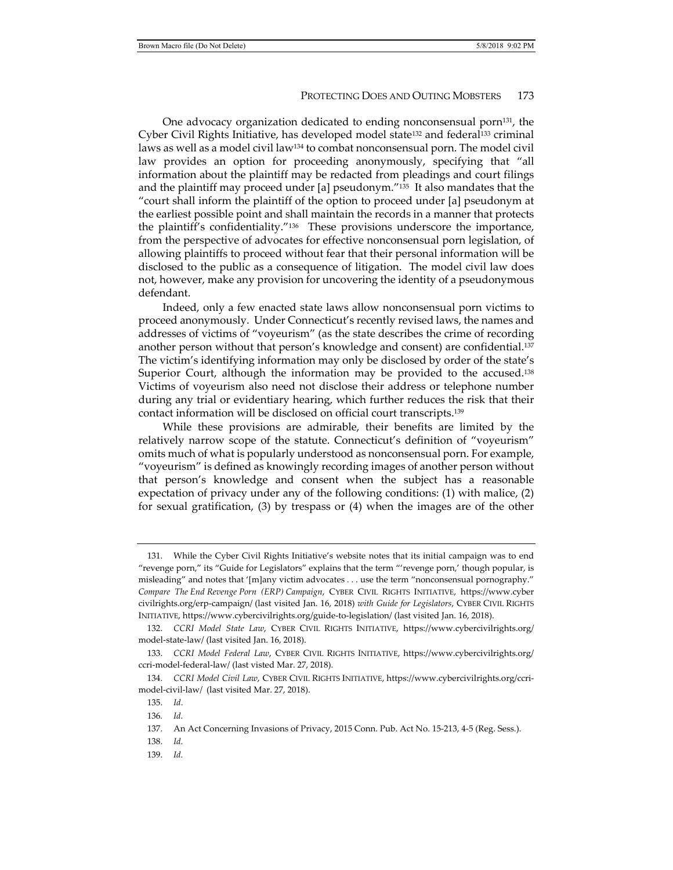One advocacy organization dedicated to ending nonconsensual porn $131$ , the Cyber Civil Rights Initiative, has developed model state132 and federal133 criminal laws as well as a model civil law134 to combat nonconsensual porn. The model civil law provides an option for proceeding anonymously, specifying that "all information about the plaintiff may be redacted from pleadings and court filings and the plaintiff may proceed under [a] pseudonym."135 It also mandates that the "court shall inform the plaintiff of the option to proceed under [a] pseudonym at the earliest possible point and shall maintain the records in a manner that protects the plaintiff's confidentiality."136 These provisions underscore the importance, from the perspective of advocates for effective nonconsensual porn legislation, of allowing plaintiffs to proceed without fear that their personal information will be disclosed to the public as a consequence of litigation. The model civil law does not, however, make any provision for uncovering the identity of a pseudonymous defendant.

Indeed, only a few enacted state laws allow nonconsensual porn victims to proceed anonymously. Under Connecticut's recently revised laws, the names and addresses of victims of "voyeurism" (as the state describes the crime of recording another person without that person's knowledge and consent) are confidential.137 The victim's identifying information may only be disclosed by order of the state's Superior Court, although the information may be provided to the accused.<sup>138</sup> Victims of voyeurism also need not disclose their address or telephone number during any trial or evidentiary hearing, which further reduces the risk that their contact information will be disclosed on official court transcripts.139

While these provisions are admirable, their benefits are limited by the relatively narrow scope of the statute. Connecticut's definition of "voyeurism" omits much of what is popularly understood as nonconsensual porn. For example, "voyeurism" is defined as knowingly recording images of another person without that person's knowledge and consent when the subject has a reasonable expectation of privacy under any of the following conditions: (1) with malice, (2) for sexual gratification, (3) by trespass or (4) when the images are of the other

 <sup>131.</sup> While the Cyber Civil Rights Initiative's website notes that its initial campaign was to end "revenge porn," its "Guide for Legislators" explains that the term "'revenge porn,' though popular, is misleading" and notes that '[m]any victim advocates . . . use the term "nonconsensual pornography." *Compare The End Revenge Porn (ERP) Campaign*, CYBER CIVIL RIGHTS INITIATIVE, https://www.cyber civilrights.org/erp-campaign/ (last visited Jan. 16, 2018) *with Guide for Legislators*, CYBER CIVIL RIGHTS INITIATIVE, https://www.cybercivilrights.org/guide-to-legislation/ (last visited Jan. 16, 2018).

 <sup>132.</sup> *CCRI Model State Law*, CYBER CIVIL RIGHTS INITIATIVE, https://www.cybercivilrights.org/ model-state-law/ (last visited Jan. 16, 2018).

 <sup>133.</sup> *CCRI Model Federal Law*, CYBER CIVIL RIGHTS INITIATIVE, https://www.cybercivilrights.org/ ccri-model-federal-law/ (last visted Mar. 27, 2018).

 <sup>134.</sup> *CCRI Model Civil Law*, CYBER CIVIL RIGHTS INITIATIVE, https://www.cybercivilrights.org/ccrimodel-civil-law/ (last visited Mar. 27, 2018).

 <sup>135.</sup> *Id*.

<sup>136</sup>*. Id.*

 <sup>137.</sup> An Act Concerning Invasions of Privacy, 2015 Conn. Pub. Act No. 15-213, 4-5 (Reg. Sess.).

 <sup>138.</sup> *Id.*

 <sup>139.</sup> *Id.*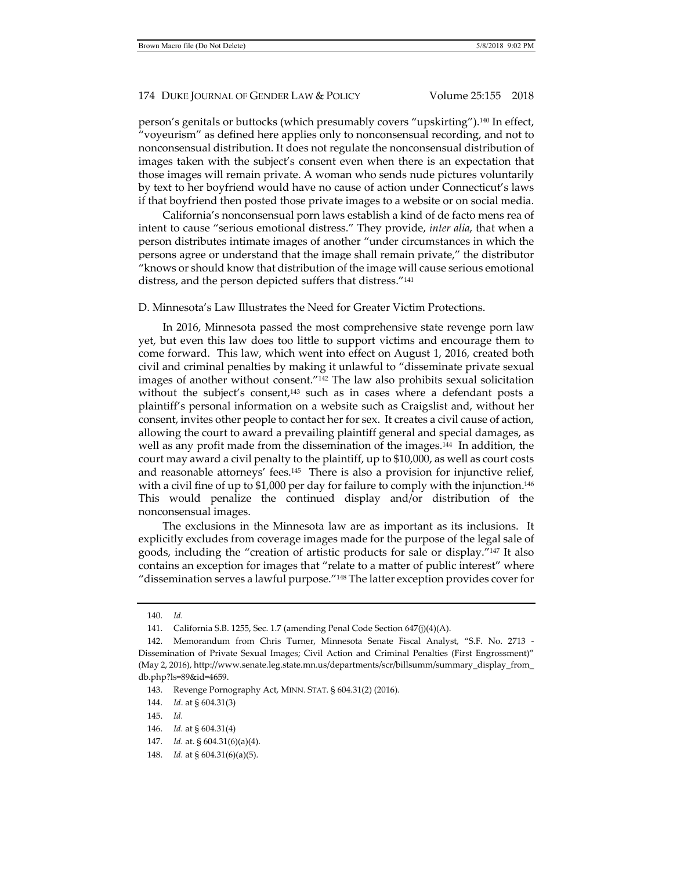person's genitals or buttocks (which presumably covers "upskirting").140 In effect, "voyeurism" as defined here applies only to nonconsensual recording, and not to nonconsensual distribution. It does not regulate the nonconsensual distribution of images taken with the subject's consent even when there is an expectation that those images will remain private. A woman who sends nude pictures voluntarily by text to her boyfriend would have no cause of action under Connecticut's laws if that boyfriend then posted those private images to a website or on social media.

California's nonconsensual porn laws establish a kind of de facto mens rea of intent to cause "serious emotional distress." They provide, *inter alia*, that when a person distributes intimate images of another "under circumstances in which the persons agree or understand that the image shall remain private," the distributor "knows or should know that distribution of the image will cause serious emotional distress, and the person depicted suffers that distress."141

D. Minnesota's Law Illustrates the Need for Greater Victim Protections.

In 2016, Minnesota passed the most comprehensive state revenge porn law yet, but even this law does too little to support victims and encourage them to come forward. This law, which went into effect on August 1, 2016, created both civil and criminal penalties by making it unlawful to "disseminate private sexual images of another without consent."142 The law also prohibits sexual solicitation without the subject's consent,<sup>143</sup> such as in cases where a defendant posts a plaintiff's personal information on a website such as Craigslist and, without her consent, invites other people to contact her for sex. It creates a civil cause of action, allowing the court to award a prevailing plaintiff general and special damages, as well as any profit made from the dissemination of the images.<sup>144</sup> In addition, the court may award a civil penalty to the plaintiff, up to \$10,000, as well as court costs and reasonable attorneys' fees.145 There is also a provision for injunctive relief, with a civil fine of up to \$1,000 per day for failure to comply with the injunction.<sup>146</sup> This would penalize the continued display and/or distribution of the nonconsensual images.

The exclusions in the Minnesota law are as important as its inclusions. It explicitly excludes from coverage images made for the purpose of the legal sale of goods, including the "creation of artistic products for sale or display."147 It also contains an exception for images that "relate to a matter of public interest" where "dissemination serves a lawful purpose."148 The latter exception provides cover for

- 147. *Id.* at. § 604.31(6)(a)(4).
- 148. *Id.* at § 604.31(6)(a)(5).

 <sup>140.</sup> *Id.*

 <sup>141.</sup> California S.B. 1255, Sec. 1.7 (amending Penal Code Section 647(j)(4)(A).

 <sup>142.</sup> Memorandum from Chris Turner, Minnesota Senate Fiscal Analyst, "S.F. No. 2713 - Dissemination of Private Sexual Images; Civil Action and Criminal Penalties (First Engrossment)" (May 2, 2016), http://www.senate.leg.state.mn.us/departments/scr/billsumm/summary\_display\_from\_ db.php?ls=89&id=4659.

 <sup>143.</sup> Revenge Pornography Act, MINN. STAT. § 604.31(2) (2016).

 <sup>144.</sup> *Id*. at § 604.31(3)

 <sup>145.</sup> *Id.*

 <sup>146.</sup> *Id.* at § 604.31(4)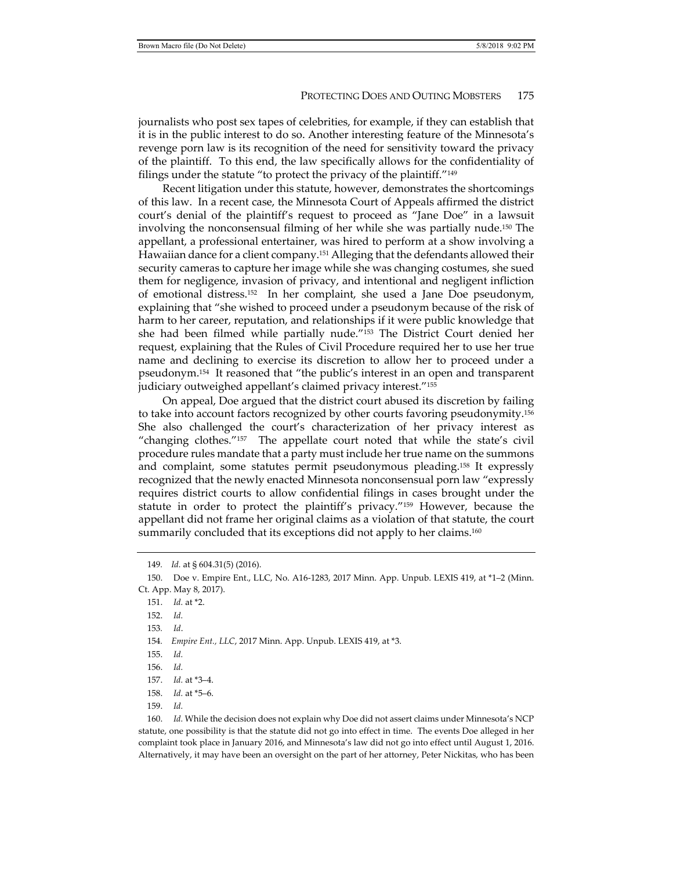journalists who post sex tapes of celebrities, for example, if they can establish that it is in the public interest to do so. Another interesting feature of the Minnesota's revenge porn law is its recognition of the need for sensitivity toward the privacy of the plaintiff. To this end, the law specifically allows for the confidentiality of filings under the statute "to protect the privacy of the plaintiff."149

Recent litigation under this statute, however, demonstrates the shortcomings of this law. In a recent case, the Minnesota Court of Appeals affirmed the district court's denial of the plaintiff's request to proceed as "Jane Doe" in a lawsuit involving the nonconsensual filming of her while she was partially nude.150 The appellant, a professional entertainer, was hired to perform at a show involving a Hawaiian dance for a client company.151 Alleging that the defendants allowed their security cameras to capture her image while she was changing costumes, she sued them for negligence, invasion of privacy, and intentional and negligent infliction of emotional distress.152 In her complaint, she used a Jane Doe pseudonym, explaining that "she wished to proceed under a pseudonym because of the risk of harm to her career, reputation, and relationships if it were public knowledge that she had been filmed while partially nude."153 The District Court denied her request, explaining that the Rules of Civil Procedure required her to use her true name and declining to exercise its discretion to allow her to proceed under a pseudonym.154 It reasoned that "the public's interest in an open and transparent judiciary outweighed appellant's claimed privacy interest."155

On appeal, Doe argued that the district court abused its discretion by failing to take into account factors recognized by other courts favoring pseudonymity.156 She also challenged the court's characterization of her privacy interest as "changing clothes."157 The appellate court noted that while the state's civil procedure rules mandate that a party must include her true name on the summons and complaint, some statutes permit pseudonymous pleading.158 It expressly recognized that the newly enacted Minnesota nonconsensual porn law "expressly requires district courts to allow confidential filings in cases brought under the statute in order to protect the plaintiff's privacy."159 However, because the appellant did not frame her original claims as a violation of that statute, the court summarily concluded that its exceptions did not apply to her claims.<sup>160</sup>

156. *Id.*

- 158. *Id.* at \*5–6.
- 159. *Id.*

 160. *Id.* While the decision does not explain why Doe did not assert claims under Minnesota's NCP statute, one possibility is that the statute did not go into effect in time. The events Doe alleged in her complaint took place in January 2016, and Minnesota's law did not go into effect until August 1, 2016. Alternatively, it may have been an oversight on the part of her attorney, Peter Nickitas, who has been

<sup>149</sup>*. Id.* at § 604.31(5) (2016).

 <sup>150.</sup> Doe v. Empire Ent., LLC, No. A16-1283, 2017 Minn. App. Unpub. LEXIS 419, at \*1–2 (Minn. Ct. App. May 8, 2017).

 <sup>151.</sup> *Id.* at \*2.

 <sup>152.</sup> *Id.*

<sup>153</sup>*. Id*.

<sup>154</sup>*. Empire Ent., LLC*, 2017 Minn. App. Unpub. LEXIS 419, at \*3.

 <sup>155.</sup> *Id.*

 <sup>157.</sup> *Id.* at \*3–4.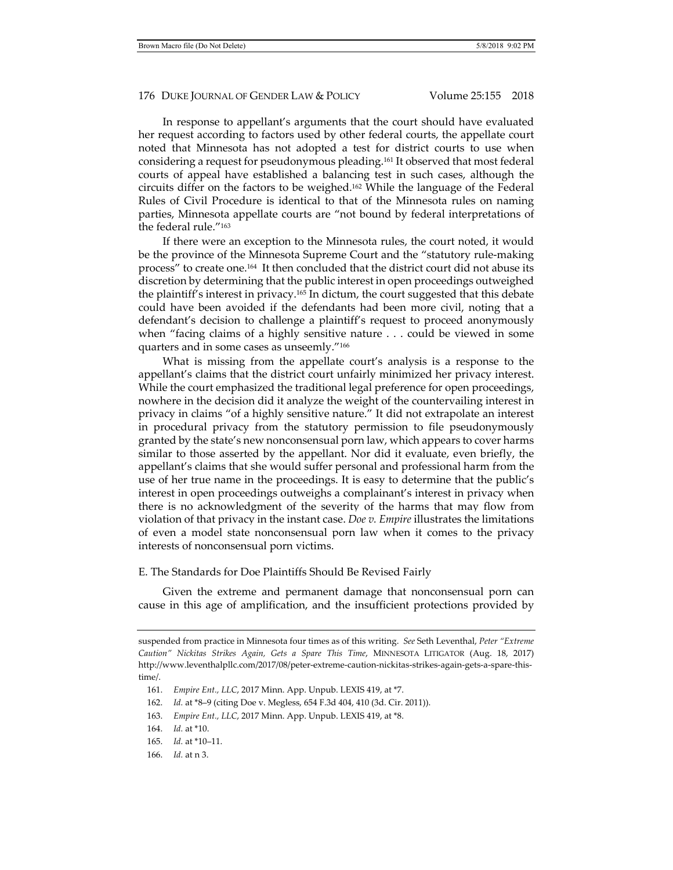In response to appellant's arguments that the court should have evaluated her request according to factors used by other federal courts, the appellate court noted that Minnesota has not adopted a test for district courts to use when considering a request for pseudonymous pleading.161 It observed that most federal courts of appeal have established a balancing test in such cases, although the circuits differ on the factors to be weighed.162 While the language of the Federal Rules of Civil Procedure is identical to that of the Minnesota rules on naming parties, Minnesota appellate courts are "not bound by federal interpretations of the federal rule."163

If there were an exception to the Minnesota rules, the court noted, it would be the province of the Minnesota Supreme Court and the "statutory rule-making process" to create one.164 It then concluded that the district court did not abuse its discretion by determining that the public interest in open proceedings outweighed the plaintiff's interest in privacy.165 In dictum, the court suggested that this debate could have been avoided if the defendants had been more civil, noting that a defendant's decision to challenge a plaintiff's request to proceed anonymously when "facing claims of a highly sensitive nature . . . could be viewed in some quarters and in some cases as unseemly."166

What is missing from the appellate court's analysis is a response to the appellant's claims that the district court unfairly minimized her privacy interest. While the court emphasized the traditional legal preference for open proceedings, nowhere in the decision did it analyze the weight of the countervailing interest in privacy in claims "of a highly sensitive nature." It did not extrapolate an interest in procedural privacy from the statutory permission to file pseudonymously granted by the state's new nonconsensual porn law, which appears to cover harms similar to those asserted by the appellant. Nor did it evaluate, even briefly, the appellant's claims that she would suffer personal and professional harm from the use of her true name in the proceedings. It is easy to determine that the public's interest in open proceedings outweighs a complainant's interest in privacy when there is no acknowledgment of the severity of the harms that may flow from violation of that privacy in the instant case. *Doe v. Empire* illustrates the limitations of even a model state nonconsensual porn law when it comes to the privacy interests of nonconsensual porn victims.

E. The Standards for Doe Plaintiffs Should Be Revised Fairly

Given the extreme and permanent damage that nonconsensual porn can cause in this age of amplification, and the insufficient protections provided by

- 162. *Id.* at \*8–9 (citing Doe v. Megless, 654 F.3d 404, 410 (3d. Cir. 2011)).
- 163. *Empire Ent., LLC*, 2017 Minn. App. Unpub. LEXIS 419, at \*8.

- 165. *Id.* at \*10–11.
- 166. *Id.* at n 3.

suspended from practice in Minnesota four times as of this writing. *See* Seth Leventhal, *Peter "Extreme Caution" Nickitas Strikes Again, Gets a Spare This Time*, MINNESOTA LITIGATOR (Aug. 18, 2017) http://www.leventhalpllc.com/2017/08/peter-extreme-caution-nickitas-strikes-again-gets-a-spare-thistime/.

 <sup>161.</sup> *Empire Ent., LLC*, 2017 Minn. App. Unpub. LEXIS 419, at \*7.

 <sup>164.</sup> *Id.* at \*10.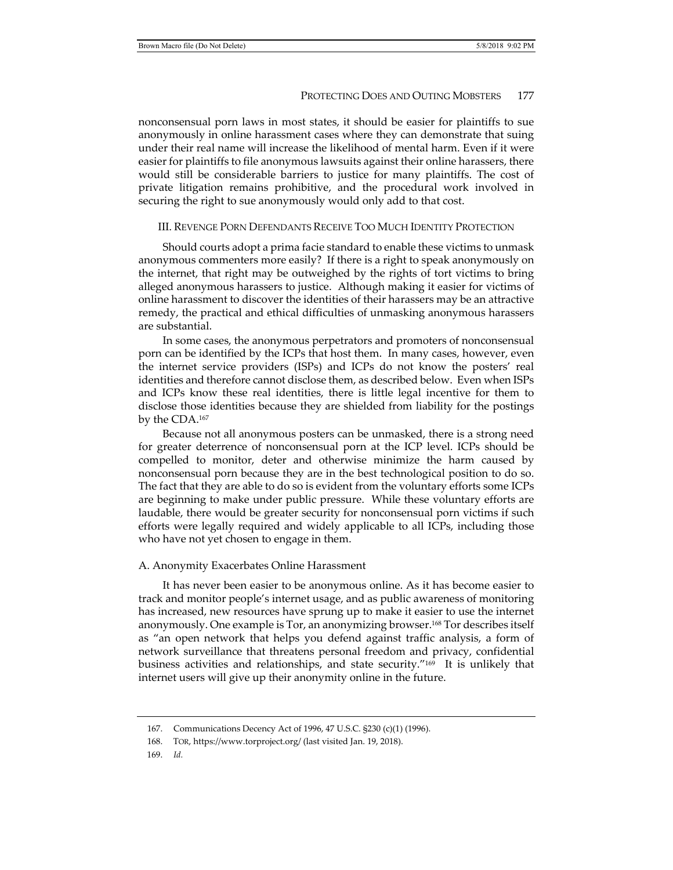nonconsensual porn laws in most states, it should be easier for plaintiffs to sue anonymously in online harassment cases where they can demonstrate that suing under their real name will increase the likelihood of mental harm. Even if it were easier for plaintiffs to file anonymous lawsuits against their online harassers, there would still be considerable barriers to justice for many plaintiffs. The cost of private litigation remains prohibitive, and the procedural work involved in securing the right to sue anonymously would only add to that cost.

#### III. REVENGE PORN DEFENDANTS RECEIVE TOO MUCH IDENTITY PROTECTION

Should courts adopt a prima facie standard to enable these victims to unmask anonymous commenters more easily? If there is a right to speak anonymously on the internet, that right may be outweighed by the rights of tort victims to bring alleged anonymous harassers to justice. Although making it easier for victims of online harassment to discover the identities of their harassers may be an attractive remedy, the practical and ethical difficulties of unmasking anonymous harassers are substantial.

In some cases, the anonymous perpetrators and promoters of nonconsensual porn can be identified by the ICPs that host them. In many cases, however, even the internet service providers (ISPs) and ICPs do not know the posters' real identities and therefore cannot disclose them, as described below. Even when ISPs and ICPs know these real identities, there is little legal incentive for them to disclose those identities because they are shielded from liability for the postings by the CDA.167

Because not all anonymous posters can be unmasked, there is a strong need for greater deterrence of nonconsensual porn at the ICP level. ICPs should be compelled to monitor, deter and otherwise minimize the harm caused by nonconsensual porn because they are in the best technological position to do so. The fact that they are able to do so is evident from the voluntary efforts some ICPs are beginning to make under public pressure. While these voluntary efforts are laudable, there would be greater security for nonconsensual porn victims if such efforts were legally required and widely applicable to all ICPs, including those who have not yet chosen to engage in them.

### A. Anonymity Exacerbates Online Harassment

It has never been easier to be anonymous online. As it has become easier to track and monitor people's internet usage, and as public awareness of monitoring has increased, new resources have sprung up to make it easier to use the internet anonymously. One example is Tor, an anonymizing browser.168 Tor describes itself as "an open network that helps you defend against traffic analysis, a form of network surveillance that threatens personal freedom and privacy, confidential business activities and relationships, and state security."169 It is unlikely that internet users will give up their anonymity online in the future.

 <sup>167.</sup> Communications Decency Act of 1996, 47 U.S.C. §230 (c)(1) (1996).

 <sup>168.</sup> TOR, https://www.torproject.org/ (last visited Jan. 19, 2018).

 <sup>169.</sup> *Id.*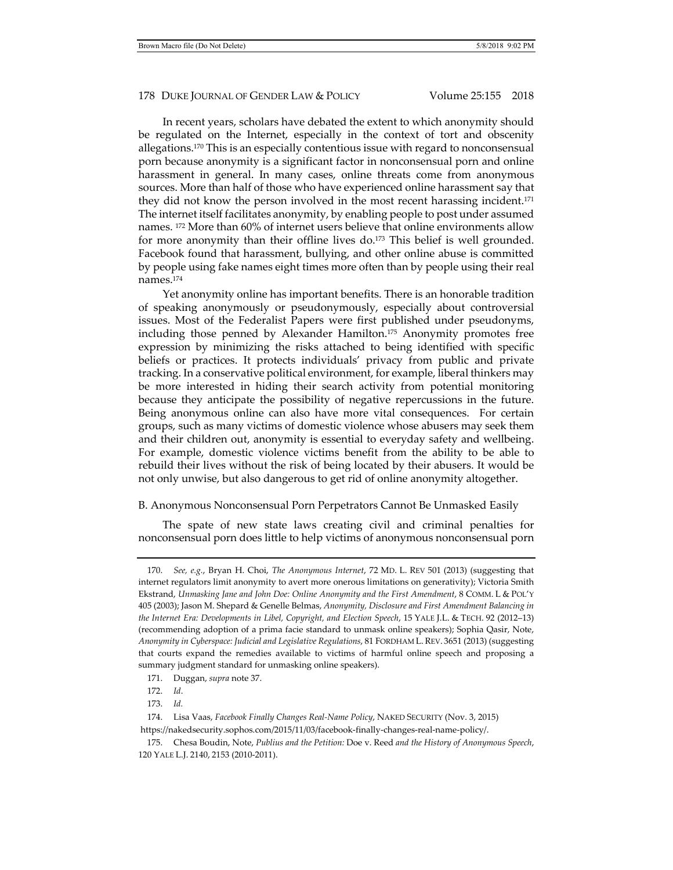In recent years, scholars have debated the extent to which anonymity should be regulated on the Internet, especially in the context of tort and obscenity allegations.170 This is an especially contentious issue with regard to nonconsensual porn because anonymity is a significant factor in nonconsensual porn and online harassment in general. In many cases, online threats come from anonymous sources. More than half of those who have experienced online harassment say that they did not know the person involved in the most recent harassing incident.171 The internet itself facilitates anonymity, by enabling people to post under assumed names. 172 More than 60% of internet users believe that online environments allow for more anonymity than their offline lives  $d\sigma$ <sup>173</sup>. This belief is well grounded. Facebook found that harassment, bullying, and other online abuse is committed by people using fake names eight times more often than by people using their real names.174

Yet anonymity online has important benefits. There is an honorable tradition of speaking anonymously or pseudonymously, especially about controversial issues. Most of the Federalist Papers were first published under pseudonyms, including those penned by Alexander Hamilton.175 Anonymity promotes free expression by minimizing the risks attached to being identified with specific beliefs or practices. It protects individuals' privacy from public and private tracking. In a conservative political environment, for example, liberal thinkers may be more interested in hiding their search activity from potential monitoring because they anticipate the possibility of negative repercussions in the future. Being anonymous online can also have more vital consequences. For certain groups, such as many victims of domestic violence whose abusers may seek them and their children out, anonymity is essential to everyday safety and wellbeing. For example, domestic violence victims benefit from the ability to be able to rebuild their lives without the risk of being located by their abusers. It would be not only unwise, but also dangerous to get rid of online anonymity altogether.

#### B. Anonymous Nonconsensual Porn Perpetrators Cannot Be Unmasked Easily

The spate of new state laws creating civil and criminal penalties for nonconsensual porn does little to help victims of anonymous nonconsensual porn

 <sup>170.</sup> *See, e.g.*, Bryan H. Choi, *The Anonymous Internet*, 72 MD. L. REV 501 (2013) (suggesting that internet regulators limit anonymity to avert more onerous limitations on generativity); Victoria Smith Ekstrand, *Unmasking Jane and John Doe: Online Anonymity and the First Amendment*, 8 COMM. L & POL'Y 405 (2003); Jason M. Shepard & Genelle Belmas, *Anonymity, Disclosure and First Amendment Balancing in the Internet Era: Developments in Libel, Copyright, and Election Speech*, 15 YALE J.L. & TECH. 92 (2012–13) (recommending adoption of a prima facie standard to unmask online speakers); Sophia Qasir, Note, *Anonymity in Cyberspace: Judicial and Legislative Regulations*, 81 FORDHAM L. REV. 3651 (2013) (suggesting that courts expand the remedies available to victims of harmful online speech and proposing a summary judgment standard for unmasking online speakers).

 <sup>171.</sup> Duggan, *supra* note 37.

 <sup>172.</sup> *Id*.

 <sup>173.</sup> *Id.*

 <sup>174.</sup> Lisa Vaas, *Facebook Finally Changes Real-Name Policy*, NAKED SECURITY (Nov. 3, 2015) https://nakedsecurity.sophos.com/2015/11/03/facebook-finally-changes-real-name-policy/.

 <sup>175.</sup> Chesa Boudin, Note, *Publius and the Petition:* Doe v. Reed *and the History of Anonymous Speech*, 120 YALE L.J. 2140, 2153 (2010-2011).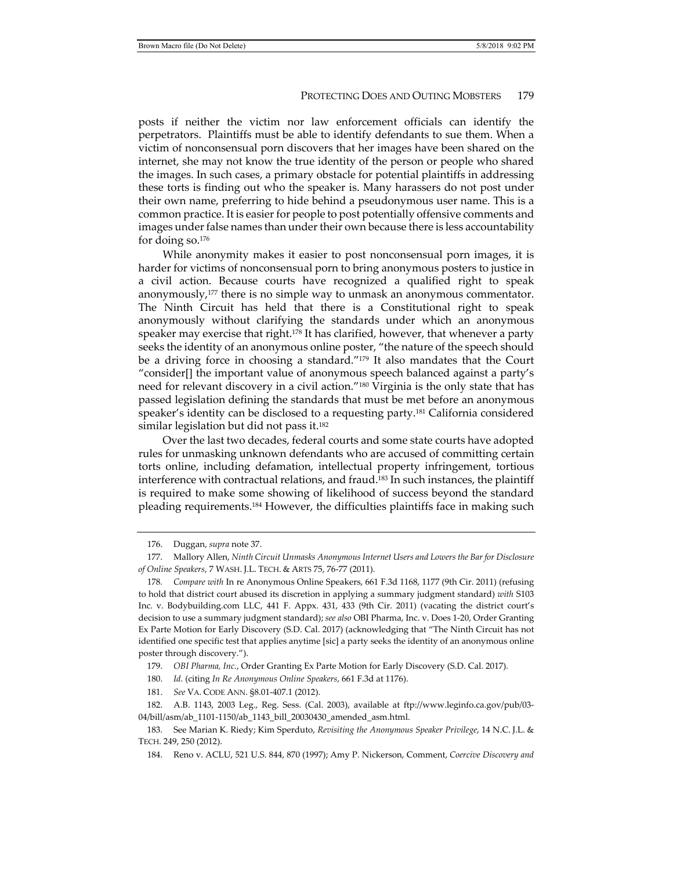posts if neither the victim nor law enforcement officials can identify the perpetrators. Plaintiffs must be able to identify defendants to sue them. When a victim of nonconsensual porn discovers that her images have been shared on the internet, she may not know the true identity of the person or people who shared the images. In such cases, a primary obstacle for potential plaintiffs in addressing these torts is finding out who the speaker is. Many harassers do not post under their own name, preferring to hide behind a pseudonymous user name. This is a common practice. It is easier for people to post potentially offensive comments and images under false names than under their own because there is less accountability for doing so.176

While anonymity makes it easier to post nonconsensual porn images, it is harder for victims of nonconsensual porn to bring anonymous posters to justice in a civil action. Because courts have recognized a qualified right to speak anonymously,177 there is no simple way to unmask an anonymous commentator. The Ninth Circuit has held that there is a Constitutional right to speak anonymously without clarifying the standards under which an anonymous speaker may exercise that right.<sup>178</sup> It has clarified, however, that whenever a party seeks the identity of an anonymous online poster, "the nature of the speech should be a driving force in choosing a standard."179 It also mandates that the Court "consider[] the important value of anonymous speech balanced against a party's need for relevant discovery in a civil action.<sup>"180</sup> Virginia is the only state that has passed legislation defining the standards that must be met before an anonymous speaker's identity can be disclosed to a requesting party.181 California considered similar legislation but did not pass it.<sup>182</sup>

Over the last two decades, federal courts and some state courts have adopted rules for unmasking unknown defendants who are accused of committing certain torts online, including defamation, intellectual property infringement, tortious interference with contractual relations, and fraud.<sup>183</sup> In such instances, the plaintiff is required to make some showing of likelihood of success beyond the standard pleading requirements.184 However, the difficulties plaintiffs face in making such

179. *OBI Pharma, Inc.*, Order Granting Ex Parte Motion for Early Discovery (S.D. Cal. 2017).

180. *Id.* (citing *In Re Anonymous Online Speakers*, 661 F.3d at 1176).

181. *See* VA. CODE ANN. §8.01-407.1 (2012).

 <sup>176.</sup> Duggan, *supra* note 37.

 <sup>177.</sup> Mallory Allen, *Ninth Circuit Unmasks Anonymous Internet Users and Lowers the Bar for Disclosure of Online Speakers*, 7 WASH. J.L. TECH. & ARTS 75, 76-77 (2011).

<sup>178</sup>*. Compare with* In re Anonymous Online Speakers, 661 F.3d 1168, 1177 (9th Cir. 2011) (refusing to hold that district court abused its discretion in applying a summary judgment standard) *with* S103 Inc. v. Bodybuilding.com LLC, 441 F. Appx. 431, 433 (9th Cir. 2011) (vacating the district court's decision to use a summary judgment standard); *see also* OBI Pharma, Inc. v. Does 1-20, Order Granting Ex Parte Motion for Early Discovery (S.D. Cal. 2017) (acknowledging that "The Ninth Circuit has not identified one specific test that applies anytime [sic] a party seeks the identity of an anonymous online poster through discovery.").

 <sup>182.</sup> A.B. 1143, 2003 Leg., Reg. Sess. (Cal. 2003), available at ftp://www.leginfo.ca.gov/pub/03- 04/bill/asm/ab\_1101-1150/ab\_1143\_bill\_20030430\_amended\_asm.html.

 <sup>183.</sup> See Marian K. Riedy; Kim Sperduto, *Revisiting the Anonymous Speaker Privilege*, 14 N.C. J.L. & TECH. 249, 250 (2012).

 <sup>184.</sup> Reno v. ACLU, 521 U.S. 844, 870 (1997); Amy P. Nickerson, Comment, *Coercive Discovery and*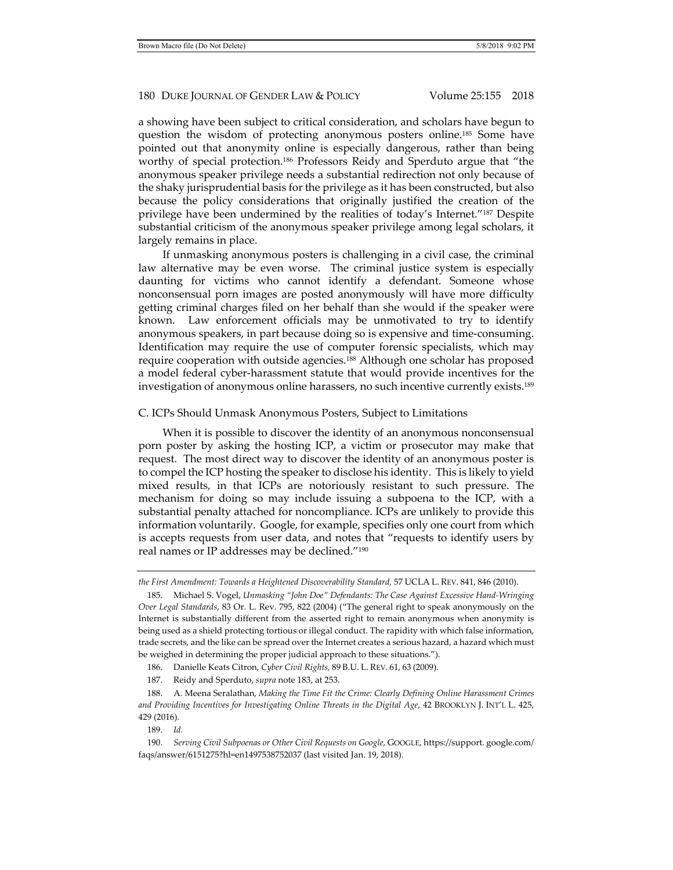a showing have been subject to critical consideration, and scholars have begun to question the wisdom of protecting anonymous posters online.185 Some have pointed out that anonymity online is especially dangerous, rather than being worthy of special protection.186 Professors Reidy and Sperduto argue that "the anonymous speaker privilege needs a substantial redirection not only because of the shaky jurisprudential basis for the privilege as it has been constructed, but also because the policy considerations that originally justified the creation of the privilege have been undermined by the realities of today's Internet."187 Despite substantial criticism of the anonymous speaker privilege among legal scholars, it largely remains in place.

If unmasking anonymous posters is challenging in a civil case, the criminal law alternative may be even worse. The criminal justice system is especially daunting for victims who cannot identify a defendant. Someone whose nonconsensual porn images are posted anonymously will have more difficulty getting criminal charges filed on her behalf than she would if the speaker were known. Law enforcement officials may be unmotivated to try to identify anonymous speakers, in part because doing so is expensive and time-consuming. Identification may require the use of computer forensic specialists, which may require cooperation with outside agencies.188 Although one scholar has proposed a model federal cyber-harassment statute that would provide incentives for the investigation of anonymous online harassers, no such incentive currently exists.189

#### C. ICPs Should Unmask Anonymous Posters, Subject to Limitations

When it is possible to discover the identity of an anonymous nonconsensual porn poster by asking the hosting ICP, a victim or prosecutor may make that request. The most direct way to discover the identity of an anonymous poster is to compel the ICP hosting the speaker to disclose his identity. This is likely to yield mixed results, in that ICPs are notoriously resistant to such pressure. The mechanism for doing so may include issuing a subpoena to the ICP, with a substantial penalty attached for noncompliance. ICPs are unlikely to provide this information voluntarily. Google, for example, specifies only one court from which is accepts requests from user data, and notes that "requests to identify users by real names or IP addresses may be declined."190

187. Reidy and Sperduto, *supra* note 183, at 253.

189. *Id.*

*the First Amendment: Towards a Heightened Discoverability Standard,* 57 UCLA L. REV. 841, 846 (2010).

 <sup>185.</sup> Michael S. Vogel, *Unmasking "John Doe" Defendants: The Case Against Excessive Hand-Wringing Over Legal Standards*, 83 Or. L. Rev. 795, 822 (2004) ("The general right to speak anonymously on the Internet is substantially different from the asserted right to remain anonymous when anonymity is being used as a shield protecting tortious or illegal conduct. The rapidity with which false information, trade secrets, and the like can be spread over the Internet creates a serious hazard, a hazard which must be weighed in determining the proper judicial approach to these situations.").

 <sup>186.</sup> Danielle Keats Citron, *Cyber Civil Rights,* 89 B.U. L. REV. 61, 63 (2009).

 <sup>188.</sup> A. Meena Seralathan, *Making the Time Fit the Crime: Clearly Defining Online Harassment Crimes and Providing Incentives for Investigating Online Threats in the Digital Age*, 42 BROOKLYN J. INT'L L. 425, 429 (2016).

 <sup>190.</sup> *Serving Civil Subpoenas or Other Civil Requests on Google*, GOOGLE, https://support. google.com/ faqs/answer/6151275?hl=en1497538752037 (last visited Jan. 19, 2018).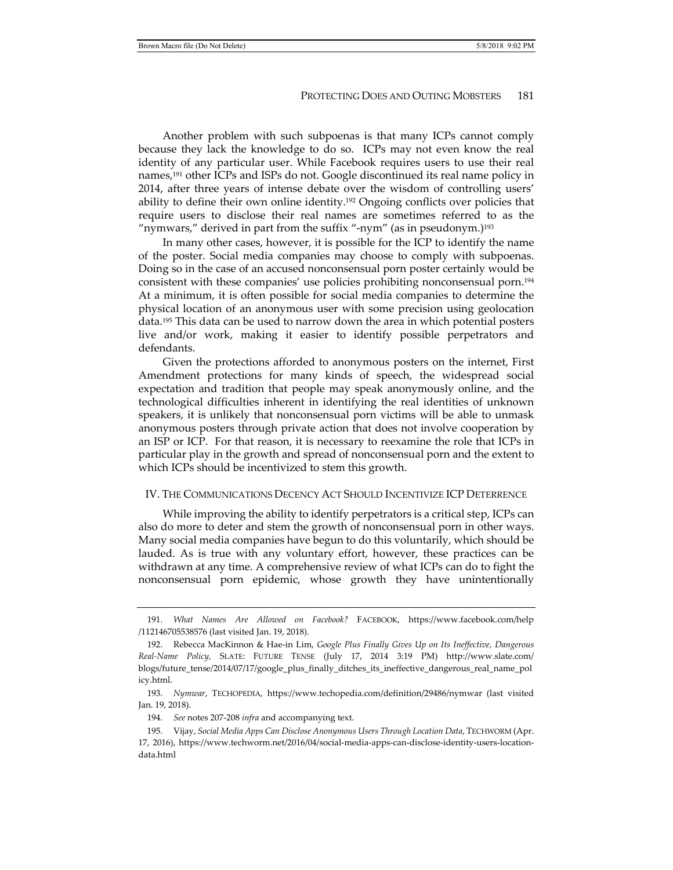Another problem with such subpoenas is that many ICPs cannot comply because they lack the knowledge to do so. ICPs may not even know the real identity of any particular user. While Facebook requires users to use their real names,<sup>191</sup> other ICPs and ISPs do not. Google discontinued its real name policy in 2014, after three years of intense debate over the wisdom of controlling users' ability to define their own online identity.<sup>192</sup> Ongoing conflicts over policies that require users to disclose their real names are sometimes referred to as the "nymwars," derived in part from the suffix "-nym" (as in pseudonym.)<sup>193</sup>

In many other cases, however, it is possible for the ICP to identify the name of the poster. Social media companies may choose to comply with subpoenas. Doing so in the case of an accused nonconsensual porn poster certainly would be consistent with these companies' use policies prohibiting nonconsensual porn.194 At a minimum, it is often possible for social media companies to determine the physical location of an anonymous user with some precision using geolocation data.195 This data can be used to narrow down the area in which potential posters live and/or work, making it easier to identify possible perpetrators and defendants.

Given the protections afforded to anonymous posters on the internet, First Amendment protections for many kinds of speech, the widespread social expectation and tradition that people may speak anonymously online, and the technological difficulties inherent in identifying the real identities of unknown speakers, it is unlikely that nonconsensual porn victims will be able to unmask anonymous posters through private action that does not involve cooperation by an ISP or ICP. For that reason, it is necessary to reexamine the role that ICPs in particular play in the growth and spread of nonconsensual porn and the extent to which ICPs should be incentivized to stem this growth.

#### IV. THE COMMUNICATIONS DECENCY ACT SHOULD INCENTIVIZE ICP DETERRENCE

While improving the ability to identify perpetrators is a critical step, ICPs can also do more to deter and stem the growth of nonconsensual porn in other ways. Many social media companies have begun to do this voluntarily, which should be lauded. As is true with any voluntary effort, however, these practices can be withdrawn at any time. A comprehensive review of what ICPs can do to fight the nonconsensual porn epidemic, whose growth they have unintentionally

 <sup>191.</sup> *What Names Are Allowed on Facebook?* FACEBOOK, https://www.facebook.com/help /112146705538576 (last visited Jan. 19, 2018).

 <sup>192.</sup> Rebecca MacKinnon & Hae-in Lim, *Google Plus Finally Gives Up on Its Ineffective, Dangerous Real-Name Policy,* SLATE: FUTURE TENSE (July 17, 2014 3:19 PM) http://www.slate.com/ blogs/future\_tense/2014/07/17/google\_plus\_finally\_ditches\_its\_ineffective\_dangerous\_real\_name\_pol icy.html.

 <sup>193.</sup> *Nymwar*, TECHOPEDIA, https://www.techopedia.com/definition/29486/nymwar (last visited Jan. 19, 2018).

 <sup>194.</sup> *See* notes 207-208 *infra* and accompanying text.

 <sup>195.</sup> Vijay, *Social Media Apps Can Disclose Anonymous Users Through Location Data*, TECHWORM (Apr. 17, 2016), https://www.techworm.net/2016/04/social-media-apps-can-disclose-identity-users-locationdata.html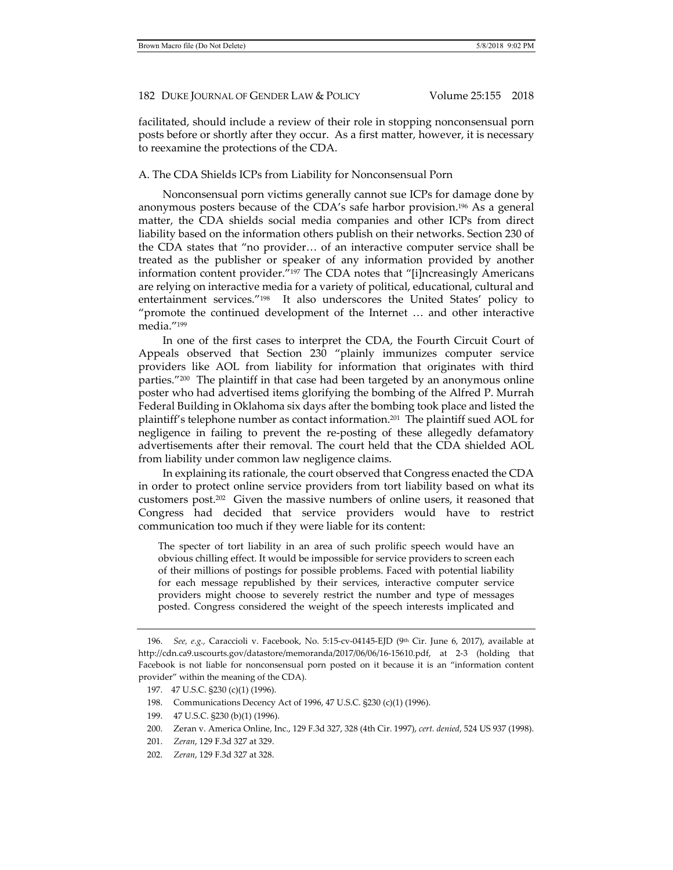facilitated, should include a review of their role in stopping nonconsensual porn posts before or shortly after they occur. As a first matter, however, it is necessary to reexamine the protections of the CDA.

### A. The CDA Shields ICPs from Liability for Nonconsensual Porn

Nonconsensual porn victims generally cannot sue ICPs for damage done by anonymous posters because of the CDA's safe harbor provision.196 As a general matter, the CDA shields social media companies and other ICPs from direct liability based on the information others publish on their networks. Section 230 of the CDA states that "no provider… of an interactive computer service shall be treated as the publisher or speaker of any information provided by another information content provider."197 The CDA notes that "[i]ncreasingly Americans are relying on interactive media for a variety of political, educational, cultural and entertainment services."198 It also underscores the United States' policy to "promote the continued development of the Internet … and other interactive media."199

In one of the first cases to interpret the CDA, the Fourth Circuit Court of Appeals observed that Section 230 "plainly immunizes computer service providers like AOL from liability for information that originates with third parties."<sup>200</sup> The plaintiff in that case had been targeted by an anonymous online poster who had advertised items glorifying the bombing of the Alfred P. Murrah Federal Building in Oklahoma six days after the bombing took place and listed the plaintiff's telephone number as contact information.201 The plaintiff sued AOL for negligence in failing to prevent the re-posting of these allegedly defamatory advertisements after their removal. The court held that the CDA shielded AOL from liability under common law negligence claims.

In explaining its rationale, the court observed that Congress enacted the CDA in order to protect online service providers from tort liability based on what its customers post.202 Given the massive numbers of online users, it reasoned that Congress had decided that service providers would have to restrict communication too much if they were liable for its content:

The specter of tort liability in an area of such prolific speech would have an obvious chilling effect. It would be impossible for service providers to screen each of their millions of postings for possible problems. Faced with potential liability for each message republished by their services, interactive computer service providers might choose to severely restrict the number and type of messages posted. Congress considered the weight of the speech interests implicated and

- 199. 47 U.S.C. §230 (b)(1) (1996).
- 200. Zeran v. America Online, Inc., 129 F.3d 327, 328 (4th Cir. 1997), *cert. denied*, 524 US 937 (1998).
- 201. *Zeran*, 129 F.3d 327 at 329.
- 202. *Zeran*, 129 F.3d 327 at 328.

 <sup>196.</sup> *See, e.g.,* Caraccioli v. Facebook, No. 5:15-cv-04145-EJD (9th Cir. June 6, 2017), available at http://cdn.ca9.uscourts.gov/datastore/memoranda/2017/06/06/16-15610.pdf, at 2-3 (holding that Facebook is not liable for nonconsensual porn posted on it because it is an "information content provider" within the meaning of the CDA).

 <sup>197. 47</sup> U.S.C. §230 (c)(1) (1996).

 <sup>198.</sup> Communications Decency Act of 1996, 47 U.S.C. §230 (c)(1) (1996).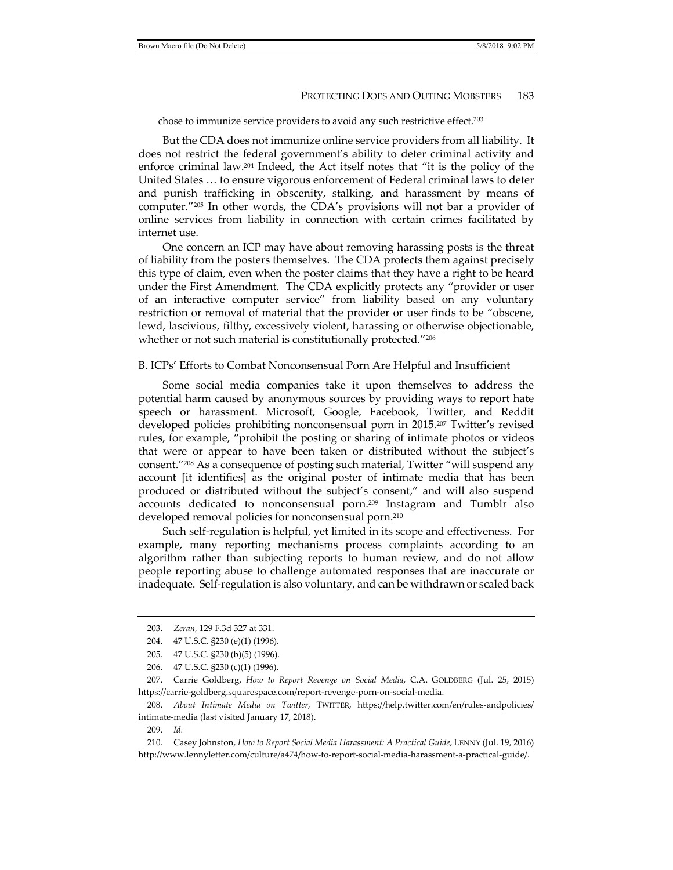chose to immunize service providers to avoid any such restrictive effect.203

But the CDA does not immunize online service providers from all liability. It does not restrict the federal government's ability to deter criminal activity and enforce criminal law.204 Indeed, the Act itself notes that "it is the policy of the United States … to ensure vigorous enforcement of Federal criminal laws to deter and punish trafficking in obscenity, stalking, and harassment by means of computer."205 In other words, the CDA's provisions will not bar a provider of online services from liability in connection with certain crimes facilitated by internet use.

One concern an ICP may have about removing harassing posts is the threat of liability from the posters themselves. The CDA protects them against precisely this type of claim, even when the poster claims that they have a right to be heard under the First Amendment. The CDA explicitly protects any "provider or user of an interactive computer service" from liability based on any voluntary restriction or removal of material that the provider or user finds to be "obscene, lewd, lascivious, filthy, excessively violent, harassing or otherwise objectionable, whether or not such material is constitutionally protected."<sup>206</sup>

#### B. ICPs' Efforts to Combat Nonconsensual Porn Are Helpful and Insufficient

Some social media companies take it upon themselves to address the potential harm caused by anonymous sources by providing ways to report hate speech or harassment. Microsoft, Google, Facebook, Twitter, and Reddit developed policies prohibiting nonconsensual porn in 2015.207 Twitter's revised rules, for example, "prohibit the posting or sharing of intimate photos or videos that were or appear to have been taken or distributed without the subject's consent."208 As a consequence of posting such material, Twitter "will suspend any account [it identifies] as the original poster of intimate media that has been produced or distributed without the subject's consent," and will also suspend accounts dedicated to nonconsensual porn.209 Instagram and Tumblr also developed removal policies for nonconsensual porn.210

Such self-regulation is helpful, yet limited in its scope and effectiveness. For example, many reporting mechanisms process complaints according to an algorithm rather than subjecting reports to human review, and do not allow people reporting abuse to challenge automated responses that are inaccurate or inadequate. Self-regulation is also voluntary, and can be withdrawn or scaled back

 <sup>203.</sup> *Zeran*, 129 F.3d 327 at 331.

 <sup>204. 47</sup> U.S.C. §230 (e)(1) (1996).

 <sup>205. 47</sup> U.S.C. §230 (b)(5) (1996).

 <sup>206. 47</sup> U.S.C. §230 (c)(1) (1996).

 <sup>207.</sup> Carrie Goldberg, *How to Report Revenge on Social Media*, C.A. GOLDBERG (Jul. 25, 2015) https://carrie-goldberg.squarespace.com/report-revenge-porn-on-social-media.

 <sup>208.</sup> *About Intimate Media on Twitter,* TWITTER, https://help.twitter.com/en/rules-andpolicies/ intimate-media (last visited January 17, 2018).

 <sup>209.</sup> *Id.*

 <sup>210.</sup> Casey Johnston, *How to Report Social Media Harassment: A Practical Guide*, LENNY (Jul. 19, 2016) http://www.lennyletter.com/culture/a474/how-to-report-social-media-harassment-a-practical-guide/.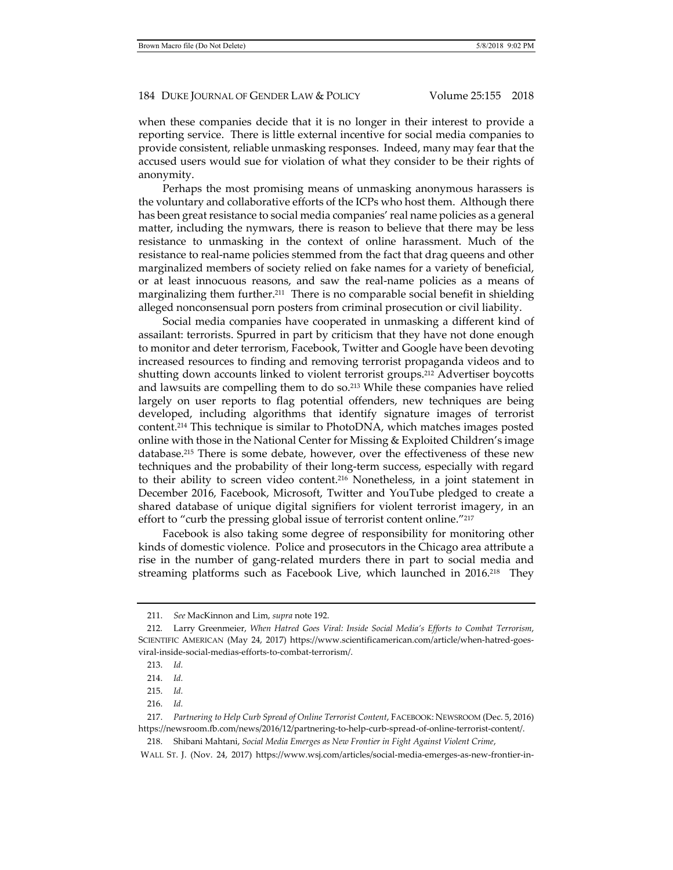when these companies decide that it is no longer in their interest to provide a reporting service. There is little external incentive for social media companies to provide consistent, reliable unmasking responses. Indeed, many may fear that the accused users would sue for violation of what they consider to be their rights of anonymity.

Perhaps the most promising means of unmasking anonymous harassers is the voluntary and collaborative efforts of the ICPs who host them. Although there has been great resistance to social media companies' real name policies as a general matter, including the nymwars, there is reason to believe that there may be less resistance to unmasking in the context of online harassment. Much of the resistance to real-name policies stemmed from the fact that drag queens and other marginalized members of society relied on fake names for a variety of beneficial, or at least innocuous reasons, and saw the real-name policies as a means of marginalizing them further.<sup>211</sup> There is no comparable social benefit in shielding alleged nonconsensual porn posters from criminal prosecution or civil liability.

Social media companies have cooperated in unmasking a different kind of assailant: terrorists. Spurred in part by criticism that they have not done enough to monitor and deter terrorism, Facebook, Twitter and Google have been devoting increased resources to finding and removing terrorist propaganda videos and to shutting down accounts linked to violent terrorist groups.212 Advertiser boycotts and lawsuits are compelling them to do so.213 While these companies have relied largely on user reports to flag potential offenders, new techniques are being developed, including algorithms that identify signature images of terrorist content.214 This technique is similar to PhotoDNA, which matches images posted online with those in the National Center for Missing & Exploited Children's image database.215 There is some debate, however, over the effectiveness of these new techniques and the probability of their long-term success, especially with regard to their ability to screen video content.216 Nonetheless, in a joint statement in December 2016, Facebook, Microsoft, Twitter and YouTube pledged to create a shared database of unique digital signifiers for violent terrorist imagery, in an effort to "curb the pressing global issue of terrorist content online."217

Facebook is also taking some degree of responsibility for monitoring other kinds of domestic violence. Police and prosecutors in the Chicago area attribute a rise in the number of gang-related murders there in part to social media and streaming platforms such as Facebook Live, which launched in 2016.<sup>218</sup> They

- 215. *Id.*
- 216. *Id.*

 <sup>211.</sup> *See* MacKinnon and Lim, *supra* note 192.

 <sup>212.</sup> Larry Greenmeier, *When Hatred Goes Viral: Inside Social Media's Efforts to Combat Terrorism*, SCIENTIFIC AMERICAN (May 24, 2017) https://www.scientificamerican.com/article/when-hatred-goesviral-inside-social-medias-efforts-to-combat-terrorism/.

 <sup>213.</sup> *Id.*

 <sup>214.</sup> *Id.*

 <sup>217.</sup> *Partnering to Help Curb Spread of Online Terrorist Content*, FACEBOOK: NEWSROOM (Dec. 5, 2016) https://newsroom.fb.com/news/2016/12/partnering-to-help-curb-spread-of-online-terrorist-content/.

 <sup>218.</sup> Shibani Mahtani, *Social Media Emerges as New Frontier in Fight Against Violent Crime*,

WALL ST. J. (Nov. 24, 2017) https://www.wsj.com/articles/social-media-emerges-as-new-frontier-in-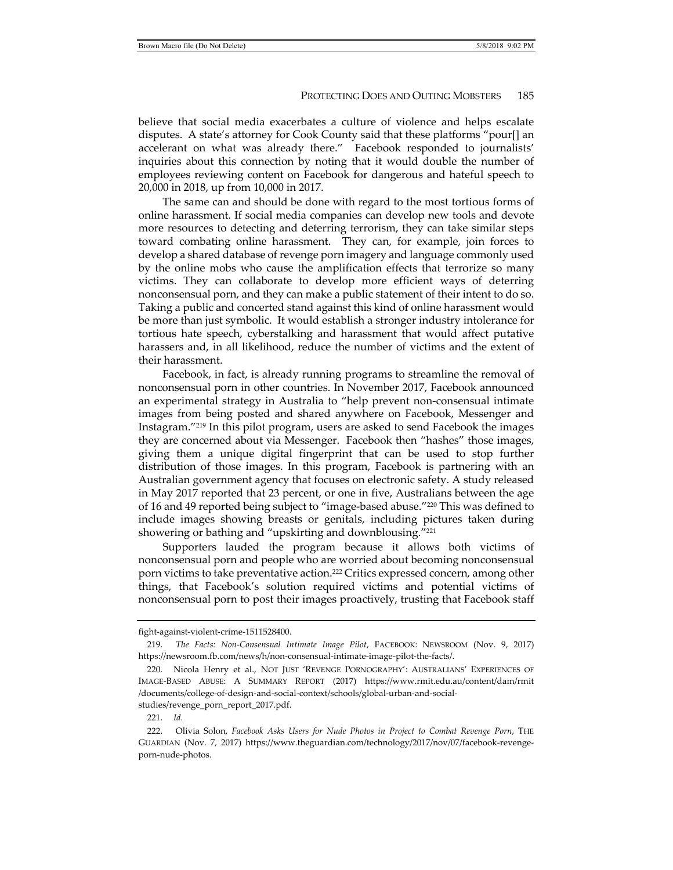believe that social media exacerbates a culture of violence and helps escalate disputes. A state's attorney for Cook County said that these platforms "pour[] an accelerant on what was already there." Facebook responded to journalists' inquiries about this connection by noting that it would double the number of employees reviewing content on Facebook for dangerous and hateful speech to 20,000 in 2018, up from 10,000 in 2017.

The same can and should be done with regard to the most tortious forms of online harassment. If social media companies can develop new tools and devote more resources to detecting and deterring terrorism, they can take similar steps toward combating online harassment. They can, for example, join forces to develop a shared database of revenge porn imagery and language commonly used by the online mobs who cause the amplification effects that terrorize so many victims. They can collaborate to develop more efficient ways of deterring nonconsensual porn, and they can make a public statement of their intent to do so. Taking a public and concerted stand against this kind of online harassment would be more than just symbolic. It would establish a stronger industry intolerance for tortious hate speech, cyberstalking and harassment that would affect putative harassers and, in all likelihood, reduce the number of victims and the extent of their harassment.

Facebook, in fact, is already running programs to streamline the removal of nonconsensual porn in other countries. In November 2017, Facebook announced an experimental strategy in Australia to "help prevent non-consensual intimate images from being posted and shared anywhere on Facebook, Messenger and Instagram."219 In this pilot program, users are asked to send Facebook the images they are concerned about via Messenger. Facebook then "hashes" those images, giving them a unique digital fingerprint that can be used to stop further distribution of those images. In this program, Facebook is partnering with an Australian government agency that focuses on electronic safety. A study released in May 2017 reported that 23 percent, or one in five, Australians between the age of 16 and 49 reported being subject to "image-based abuse."220 This was defined to include images showing breasts or genitals, including pictures taken during showering or bathing and "upskirting and downblousing."<sup>221</sup>

Supporters lauded the program because it allows both victims of nonconsensual porn and people who are worried about becoming nonconsensual porn victims to take preventative action.<sup>222</sup> Critics expressed concern, among other things, that Facebook's solution required victims and potential victims of nonconsensual porn to post their images proactively, trusting that Facebook staff

fight-against-violent-crime-1511528400.

 <sup>219.</sup> *The Facts: Non-Consensual Intimate Image Pilot*, FACEBOOK: NEWSROOM (Nov. 9, 2017) https://newsroom.fb.com/news/h/non-consensual-intimate-image-pilot-the-facts/.

 <sup>220.</sup> Nicola Henry et al., NOT JUST 'REVENGE PORNOGRAPHY': AUSTRALIANS' EXPERIENCES OF IMAGE-BASED ABUSE: A SUMMARY REPORT (2017) https://www.rmit.edu.au/content/dam/rmit /documents/college-of-design-and-social-context/schools/global-urban-and-socialstudies/revenge\_porn\_report\_2017.pdf.

 <sup>221.</sup> *Id.*

 <sup>222.</sup> Olivia Solon, *Facebook Asks Users for Nude Photos in Project to Combat Revenge Porn*, THE GUARDIAN (Nov. 7, 2017) https://www.theguardian.com/technology/2017/nov/07/facebook-revengeporn-nude-photos.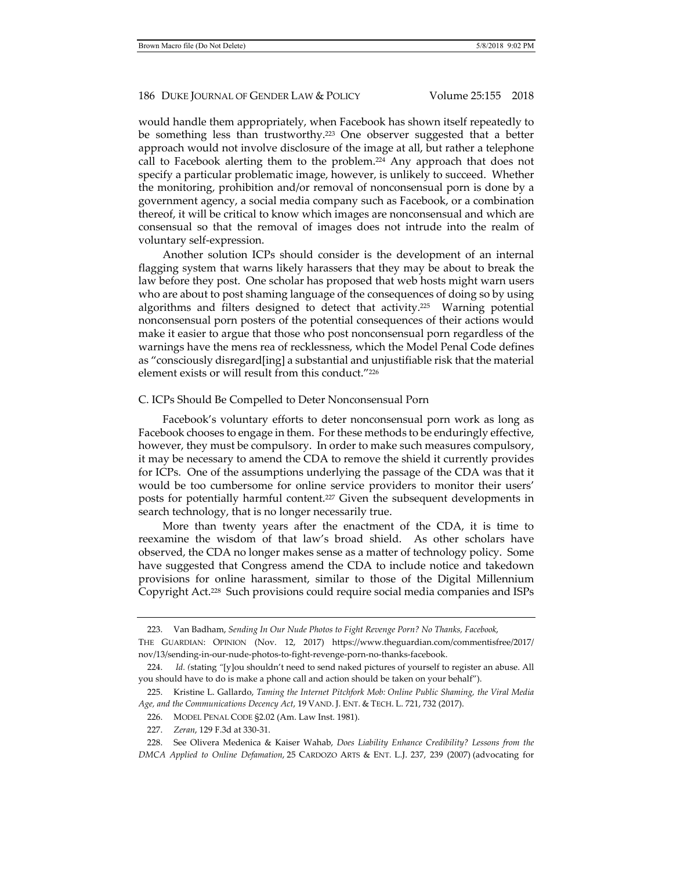would handle them appropriately, when Facebook has shown itself repeatedly to be something less than trustworthy.223 One observer suggested that a better approach would not involve disclosure of the image at all, but rather a telephone call to Facebook alerting them to the problem.224 Any approach that does not specify a particular problematic image, however, is unlikely to succeed. Whether the monitoring, prohibition and/or removal of nonconsensual porn is done by a government agency, a social media company such as Facebook, or a combination thereof, it will be critical to know which images are nonconsensual and which are consensual so that the removal of images does not intrude into the realm of voluntary self-expression.

Another solution ICPs should consider is the development of an internal flagging system that warns likely harassers that they may be about to break the law before they post. One scholar has proposed that web hosts might warn users who are about to post shaming language of the consequences of doing so by using algorithms and filters designed to detect that activity.225 Warning potential nonconsensual porn posters of the potential consequences of their actions would make it easier to argue that those who post nonconsensual porn regardless of the warnings have the mens rea of recklessness, which the Model Penal Code defines as "consciously disregard[ing] a substantial and unjustifiable risk that the material element exists or will result from this conduct."226

### C. ICPs Should Be Compelled to Deter Nonconsensual Porn

Facebook's voluntary efforts to deter nonconsensual porn work as long as Facebook chooses to engage in them. For these methods to be enduringly effective, however, they must be compulsory. In order to make such measures compulsory, it may be necessary to amend the CDA to remove the shield it currently provides for ICPs. One of the assumptions underlying the passage of the CDA was that it would be too cumbersome for online service providers to monitor their users' posts for potentially harmful content.227 Given the subsequent developments in search technology, that is no longer necessarily true.

More than twenty years after the enactment of the CDA, it is time to reexamine the wisdom of that law's broad shield. As other scholars have observed, the CDA no longer makes sense as a matter of technology policy. Some have suggested that Congress amend the CDA to include notice and takedown provisions for online harassment, similar to those of the Digital Millennium Copyright Act.228 Such provisions could require social media companies and ISPs

- 226. MODEL PENAL CODE §2.02 (Am. Law Inst. 1981).
- 227. *Zeran*, 129 F.3d at 330-31.

 <sup>223.</sup> Van Badham, *Sending In Our Nude Photos to Fight Revenge Porn? No Thanks, Facebook*,

THE GUARDIAN: OPINION (Nov. 12, 2017) https://www.theguardian.com/commentisfree/2017/ nov/13/sending-in-our-nude-photos-to-fight-revenge-porn-no-thanks-facebook.

 <sup>224.</sup> *Id. (*stating *"*[y]ou shouldn't need to send naked pictures of yourself to register an abuse. All you should have to do is make a phone call and action should be taken on your behalf").

 <sup>225.</sup> Kristine L. Gallardo, *Taming the Internet Pitchfork Mob: Online Public Shaming, the Viral Media Age, and the Communications Decency Act*, 19 VAND. J. ENT. & TECH. L. 721, 732 (2017).

 <sup>228.</sup> See Olivera Medenica & Kaiser Wahab, *Does Liability Enhance Credibility? Lessons from the DMCA Applied to Online Defamation*, 25 CARDOZO ARTS & ENT. L.J. 237, 239 (2007) (advocating for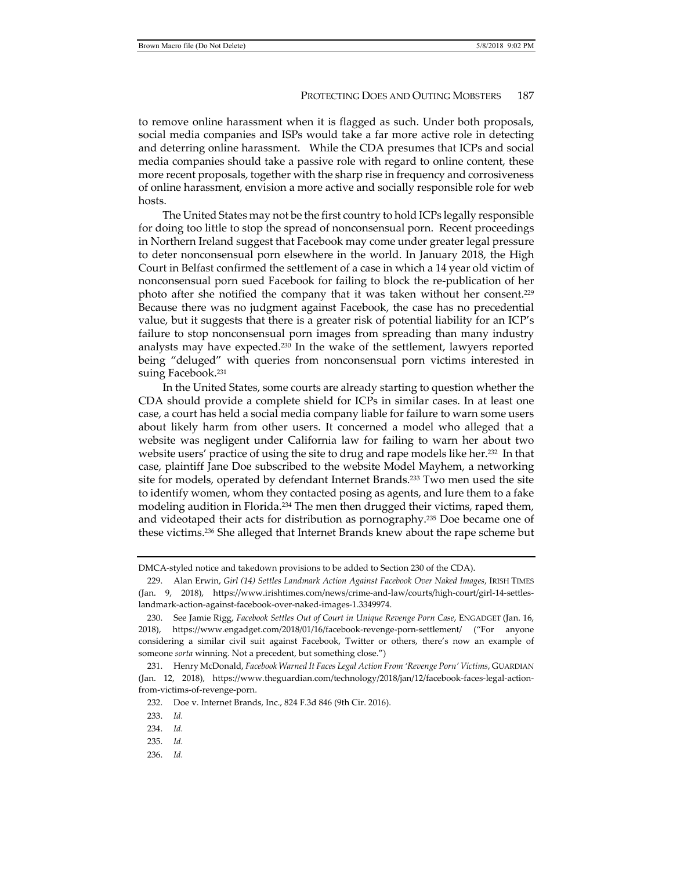to remove online harassment when it is flagged as such. Under both proposals, social media companies and ISPs would take a far more active role in detecting and deterring online harassment. While the CDA presumes that ICPs and social media companies should take a passive role with regard to online content, these more recent proposals, together with the sharp rise in frequency and corrosiveness of online harassment, envision a more active and socially responsible role for web hosts.

The United States may not be the first country to hold ICPs legally responsible for doing too little to stop the spread of nonconsensual porn. Recent proceedings in Northern Ireland suggest that Facebook may come under greater legal pressure to deter nonconsensual porn elsewhere in the world. In January 2018, the High Court in Belfast confirmed the settlement of a case in which a 14 year old victim of nonconsensual porn sued Facebook for failing to block the re-publication of her photo after she notified the company that it was taken without her consent.229 Because there was no judgment against Facebook, the case has no precedential value, but it suggests that there is a greater risk of potential liability for an ICP's failure to stop nonconsensual porn images from spreading than many industry analysts may have expected.230 In the wake of the settlement, lawyers reported being "deluged" with queries from nonconsensual porn victims interested in suing Facebook.231

In the United States, some courts are already starting to question whether the CDA should provide a complete shield for ICPs in similar cases. In at least one case, a court has held a social media company liable for failure to warn some users about likely harm from other users. It concerned a model who alleged that a website was negligent under California law for failing to warn her about two website users' practice of using the site to drug and rape models like her.<sup>232</sup> In that case, plaintiff Jane Doe subscribed to the website Model Mayhem, a networking site for models, operated by defendant Internet Brands.233 Two men used the site to identify women, whom they contacted posing as agents, and lure them to a fake modeling audition in Florida.234 The men then drugged their victims, raped them, and videotaped their acts for distribution as pornography.235 Doe became one of these victims.236 She alleged that Internet Brands knew about the rape scheme but

DMCA-styled notice and takedown provisions to be added to Section 230 of the CDA).

 <sup>229.</sup> Alan Erwin, *Girl (14) Settles Landmark Action Against Facebook Over Naked Images*, IRISH TIMES (Jan. 9, 2018), https://www.irishtimes.com/news/crime-and-law/courts/high-court/girl-14-settleslandmark-action-against-facebook-over-naked-images-1.3349974.

 <sup>230.</sup> See Jamie Rigg, *Facebook Settles Out of Court in Unique Revenge Porn Case*, ENGADGET (Jan. 16, 2018), https://www.engadget.com/2018/01/16/facebook-revenge-porn-settlement/ ("For anyone considering a similar civil suit against Facebook, Twitter or others, there's now an example of someone *sorta* winning. Not a precedent, but something close.")

 <sup>231.</sup> Henry McDonald, *Facebook Warned It Faces Legal Action From 'Revenge Porn' Victims*, GUARDIAN (Jan. 12, 2018), https://www.theguardian.com/technology/2018/jan/12/facebook-faces-legal-actionfrom-victims-of-revenge-porn.

 <sup>232.</sup> Doe v. Internet Brands, Inc., 824 F.3d 846 (9th Cir. 2016).

 <sup>233.</sup> *Id.*

 <sup>234.</sup> *Id.*

 <sup>235.</sup> *Id.*

 <sup>236.</sup> *Id.*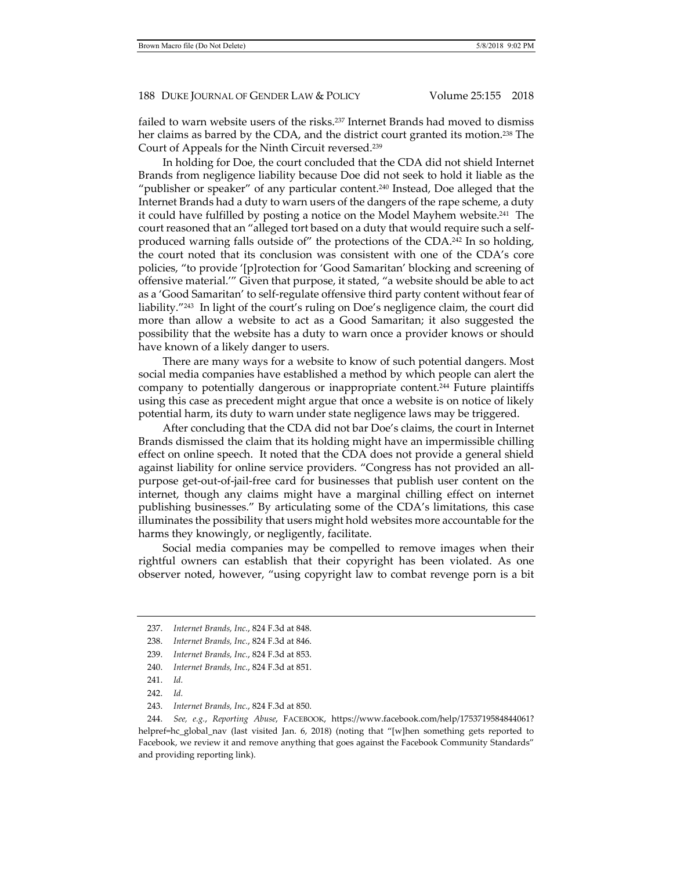failed to warn website users of the risks.237 Internet Brands had moved to dismiss her claims as barred by the CDA, and the district court granted its motion.238 The Court of Appeals for the Ninth Circuit reversed.239

In holding for Doe, the court concluded that the CDA did not shield Internet Brands from negligence liability because Doe did not seek to hold it liable as the "publisher or speaker" of any particular content.<sup>240</sup> Instead, Doe alleged that the Internet Brands had a duty to warn users of the dangers of the rape scheme, a duty it could have fulfilled by posting a notice on the Model Mayhem website.<sup>241</sup> The court reasoned that an "alleged tort based on a duty that would require such a selfproduced warning falls outside of" the protections of the CDA.<sup>242</sup> In so holding, the court noted that its conclusion was consistent with one of the CDA's core policies, "to provide '[p]rotection for 'Good Samaritan' blocking and screening of offensive material.'" Given that purpose, it stated, "a website should be able to act as a 'Good Samaritan' to self-regulate offensive third party content without fear of liability."243 In light of the court's ruling on Doe's negligence claim, the court did more than allow a website to act as a Good Samaritan; it also suggested the possibility that the website has a duty to warn once a provider knows or should have known of a likely danger to users.

There are many ways for a website to know of such potential dangers. Most social media companies have established a method by which people can alert the company to potentially dangerous or inappropriate content.244 Future plaintiffs using this case as precedent might argue that once a website is on notice of likely potential harm, its duty to warn under state negligence laws may be triggered.

After concluding that the CDA did not bar Doe's claims, the court in Internet Brands dismissed the claim that its holding might have an impermissible chilling effect on online speech. It noted that the CDA does not provide a general shield against liability for online service providers. "Congress has not provided an allpurpose get-out-of-jail-free card for businesses that publish user content on the internet, though any claims might have a marginal chilling effect on internet publishing businesses." By articulating some of the CDA's limitations, this case illuminates the possibility that users might hold websites more accountable for the harms they knowingly, or negligently, facilitate.

Social media companies may be compelled to remove images when their rightful owners can establish that their copyright has been violated. As one observer noted, however, "using copyright law to combat revenge porn is a bit

- 242. *Id.*
- 243. *Internet Brands, Inc.*, 824 F.3d at 850.

 244. *See, e.g.*, *Reporting Abuse*, FACEBOOK, https://www.facebook.com/help/1753719584844061? helpref=hc\_global\_nav (last visited Jan. 6, 2018) (noting that "[w]hen something gets reported to Facebook, we review it and remove anything that goes against the Facebook Community Standards" and providing reporting link).

 <sup>237.</sup> *Internet Brands, Inc.*, 824 F.3d at 848.

 <sup>238.</sup> *Internet Brands, Inc.*, 824 F.3d at 846.

 <sup>239.</sup> *Internet Brands, Inc.*, 824 F.3d at 853.

 <sup>240.</sup> *Internet Brands, Inc.*, 824 F.3d at 851.

 <sup>241.</sup> *Id.*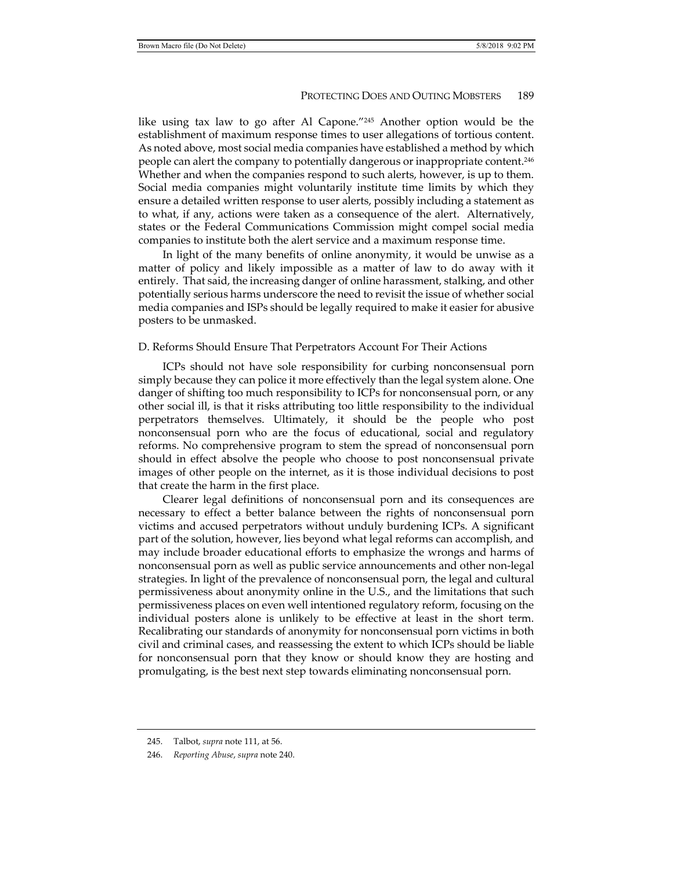like using tax law to go after Al Capone."245 Another option would be the establishment of maximum response times to user allegations of tortious content. As noted above, most social media companies have established a method by which people can alert the company to potentially dangerous or inappropriate content.246 Whether and when the companies respond to such alerts, however, is up to them. Social media companies might voluntarily institute time limits by which they ensure a detailed written response to user alerts, possibly including a statement as to what, if any, actions were taken as a consequence of the alert. Alternatively, states or the Federal Communications Commission might compel social media companies to institute both the alert service and a maximum response time.

In light of the many benefits of online anonymity, it would be unwise as a matter of policy and likely impossible as a matter of law to do away with it entirely. That said, the increasing danger of online harassment, stalking, and other potentially serious harms underscore the need to revisit the issue of whether social media companies and ISPs should be legally required to make it easier for abusive posters to be unmasked.

#### D. Reforms Should Ensure That Perpetrators Account For Their Actions

ICPs should not have sole responsibility for curbing nonconsensual porn simply because they can police it more effectively than the legal system alone. One danger of shifting too much responsibility to ICPs for nonconsensual porn, or any other social ill, is that it risks attributing too little responsibility to the individual perpetrators themselves. Ultimately, it should be the people who post nonconsensual porn who are the focus of educational, social and regulatory reforms. No comprehensive program to stem the spread of nonconsensual porn should in effect absolve the people who choose to post nonconsensual private images of other people on the internet, as it is those individual decisions to post that create the harm in the first place.

Clearer legal definitions of nonconsensual porn and its consequences are necessary to effect a better balance between the rights of nonconsensual porn victims and accused perpetrators without unduly burdening ICPs. A significant part of the solution, however, lies beyond what legal reforms can accomplish, and may include broader educational efforts to emphasize the wrongs and harms of nonconsensual porn as well as public service announcements and other non-legal strategies. In light of the prevalence of nonconsensual porn, the legal and cultural permissiveness about anonymity online in the U.S., and the limitations that such permissiveness places on even well intentioned regulatory reform, focusing on the individual posters alone is unlikely to be effective at least in the short term. Recalibrating our standards of anonymity for nonconsensual porn victims in both civil and criminal cases, and reassessing the extent to which ICPs should be liable for nonconsensual porn that they know or should know they are hosting and promulgating, is the best next step towards eliminating nonconsensual porn.

 <sup>245.</sup> Talbot, *supra* note 111, at 56.

 <sup>246.</sup> *Reporting Abuse*, *supra* note 240.